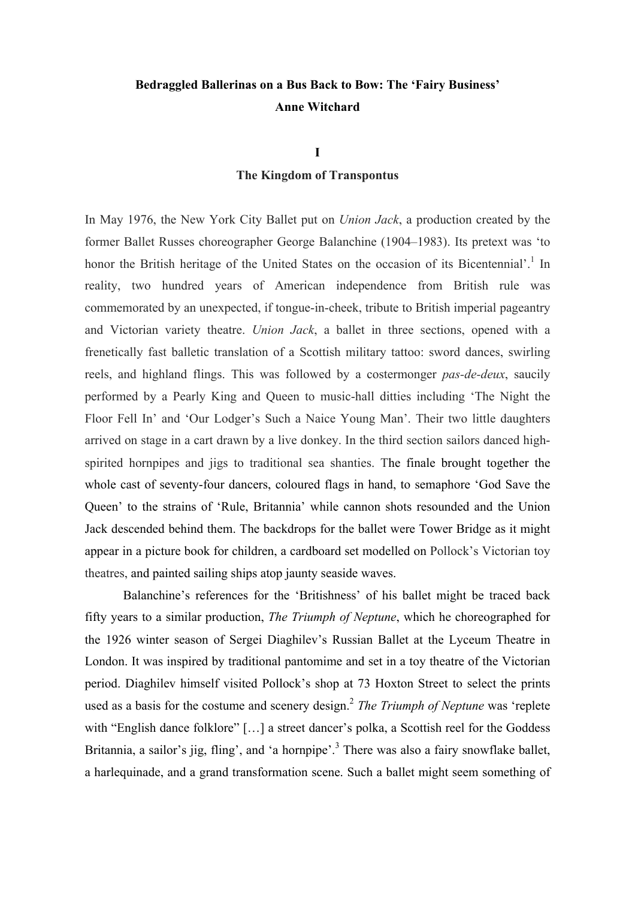# **Bedraggled Ballerinas on a Bus Back to Bow: The 'Fairy Business' Anne Witchard**

**I**

### **The Kingdom of Transpontus**

In May 1976, the New York City Ballet put on *Union Jack*, a production created by the former Ballet Russes choreographer George Balanchine (1904–1983). Its pretext was 'to honor the British heritage of the United States on the occasion of its Bicentennial'.<sup>1</sup> In reality, two hundred years of American independence from British rule was commemorated by an unexpected, if tongue-in-cheek, tribute to British imperial pageantry and Victorian variety theatre. *Union Jack*, a ballet in three sections, opened with a frenetically fast balletic translation of a Scottish military tattoo: sword dances, swirling reels, and highland flings. This was followed by a costermonger *pas-de-deux*, saucily performed by a Pearly King and Queen to music-hall ditties including 'The Night the Floor Fell In' and 'Our Lodger's Such a Naice Young Man'. Their two little daughters arrived on stage in a cart drawn by a live donkey. In the third section sailors danced highspirited hornpipes and jigs to traditional sea shanties. The finale brought together the whole cast of seventy-four dancers, coloured flags in hand, to semaphore 'God Save the Queen' to the strains of 'Rule, Britannia' while cannon shots resounded and the Union Jack descended behind them. The backdrops for the ballet were Tower Bridge as it might appear in a picture book for children, a cardboard set modelled on Pollock's Victorian toy theatres, and painted sailing ships atop jaunty seaside waves.

Balanchine's references for the 'Britishness' of his ballet might be traced back fifty years to a similar production, *The Triumph of Neptune*, which he choreographed for the 1926 winter season of Sergei Diaghilev's Russian Ballet at the Lyceum Theatre in London. It was inspired by traditional pantomime and set in a toy theatre of the Victorian period. Diaghilev himself visited Pollock's shop at 73 Hoxton Street to select the prints used as a basis for the costume and scenery design. <sup>2</sup> *The Triumph of Neptune* was 'replete with "English dance folklore" [...] a street dancer's polka, a Scottish reel for the Goddess Britannia, a sailor's jig, fling', and 'a hornpipe'.<sup>3</sup> There was also a fairy snowflake ballet, a harlequinade, and a grand transformation scene. Such a ballet might seem something of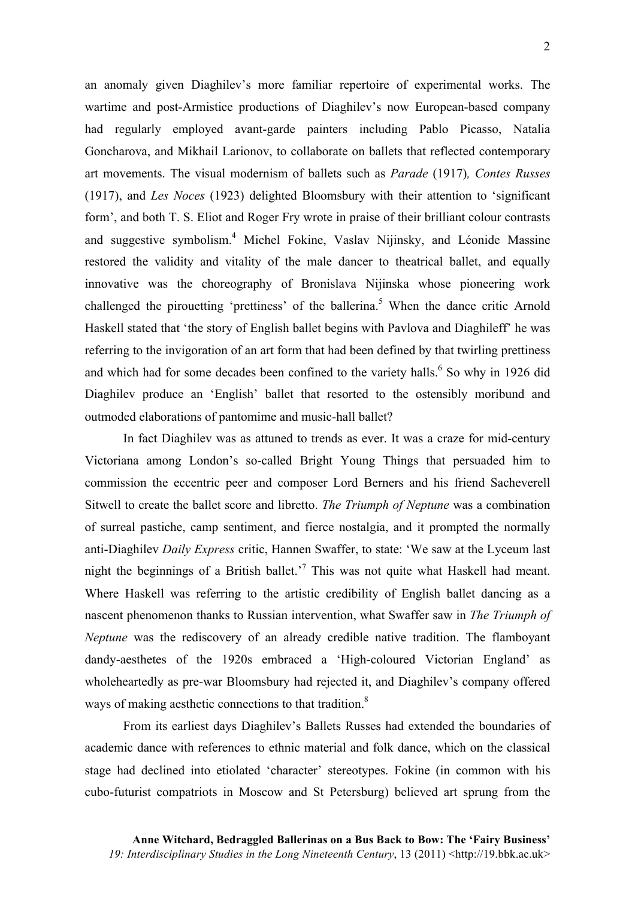an anomaly given Diaghilev's more familiar repertoire of experimental works. The wartime and post-Armistice productions of Diaghilev's now European-based company had regularly employed avant-garde painters including Pablo Picasso, Natalia Goncharova, and Mikhail Larionov, to collaborate on ballets that reflected contemporary art movements. The visual modernism of ballets such as *Parade* (1917)*, Contes Russes* (1917), and *Les Noces* (1923) delighted Bloomsbury with their attention to 'significant form', and both T. S. Eliot and Roger Fry wrote in praise of their brilliant colour contrasts and suggestive symbolism.4 Michel Fokine, Vaslav Nijinsky, and Léonide Massine restored the validity and vitality of the male dancer to theatrical ballet, and equally innovative was the choreography of Bronislava Nijinska whose pioneering work challenged the pirouetting 'prettiness' of the ballerina.<sup>5</sup> When the dance critic Arnold Haskell stated that 'the story of English ballet begins with Pavlova and Diaghileff' he was referring to the invigoration of an art form that had been defined by that twirling prettiness and which had for some decades been confined to the variety halls.<sup>6</sup> So why in 1926 did Diaghilev produce an 'English' ballet that resorted to the ostensibly moribund and outmoded elaborations of pantomime and music-hall ballet?

In fact Diaghilev was as attuned to trends as ever. It was a craze for mid-century Victoriana among London's so-called Bright Young Things that persuaded him to commission the eccentric peer and composer Lord Berners and his friend Sacheverell Sitwell to create the ballet score and libretto. *The Triumph of Neptune* was a combination of surreal pastiche, camp sentiment, and fierce nostalgia, and it prompted the normally anti-Diaghilev *Daily Express* critic, Hannen Swaffer, to state: 'We saw at the Lyceum last night the beginnings of a British ballet.<sup>7</sup> This was not quite what Haskell had meant. Where Haskell was referring to the artistic credibility of English ballet dancing as a nascent phenomenon thanks to Russian intervention, what Swaffer saw in *The Triumph of Neptune* was the rediscovery of an already credible native tradition. The flamboyant dandy-aesthetes of the 1920s embraced a 'High-coloured Victorian England' as wholeheartedly as pre-war Bloomsbury had rejected it, and Diaghilev's company offered ways of making aesthetic connections to that tradition.<sup>8</sup>

From its earliest days Diaghilev's Ballets Russes had extended the boundaries of academic dance with references to ethnic material and folk dance, which on the classical stage had declined into etiolated 'character' stereotypes. Fokine (in common with his cubo-futurist compatriots in Moscow and St Petersburg) believed art sprung from the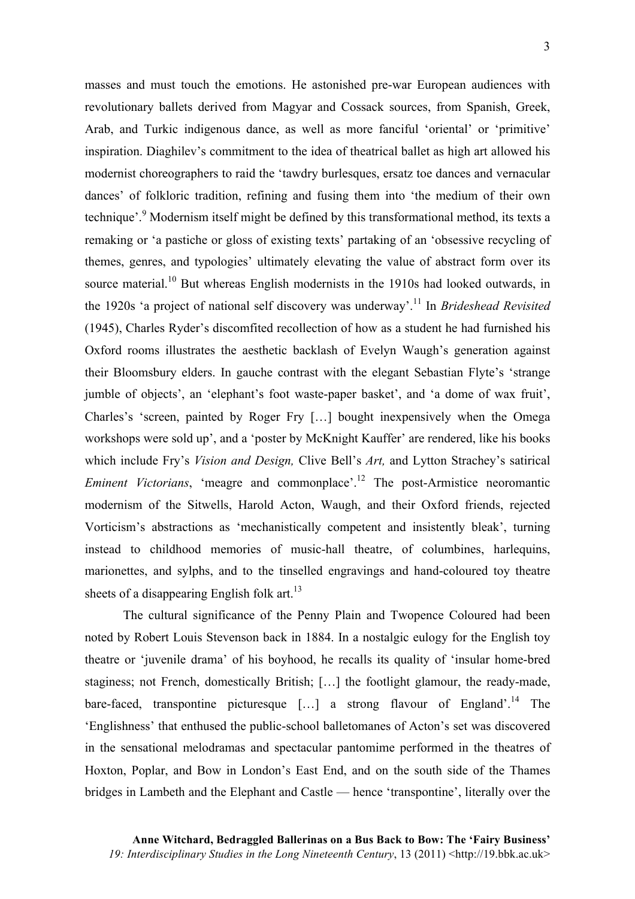masses and must touch the emotions. He astonished pre-war European audiences with revolutionary ballets derived from Magyar and Cossack sources, from Spanish, Greek, Arab, and Turkic indigenous dance, as well as more fanciful 'oriental' or 'primitive' inspiration. Diaghilev's commitment to the idea of theatrical ballet as high art allowed his modernist choreographers to raid the 'tawdry burlesques, ersatz toe dances and vernacular dances' of folkloric tradition, refining and fusing them into 'the medium of their own technique'.<sup>9</sup> Modernism itself might be defined by this transformational method, its texts a remaking or 'a pastiche or gloss of existing texts' partaking of an 'obsessive recycling of themes, genres, and typologies' ultimately elevating the value of abstract form over its source material.<sup>10</sup> But whereas English modernists in the 1910s had looked outwards, in the 1920s 'a project of national self discovery was underway'. <sup>11</sup> In *Brideshead Revisited* (1945), Charles Ryder's discomfited recollection of how as a student he had furnished his Oxford rooms illustrates the aesthetic backlash of Evelyn Waugh's generation against their Bloomsbury elders. In gauche contrast with the elegant Sebastian Flyte's 'strange jumble of objects', an 'elephant's foot waste-paper basket', and 'a dome of wax fruit', Charles's 'screen, painted by Roger Fry […] bought inexpensively when the Omega workshops were sold up', and a 'poster by McKnight Kauffer' are rendered, like his books which include Fry's *Vision and Design,* Clive Bell's *Art,* and Lytton Strachey's satirical *Eminent Victorians*, 'meagre and commonplace'. <sup>12</sup> The post-Armistice neoromantic modernism of the Sitwells, Harold Acton, Waugh, and their Oxford friends, rejected Vorticism's abstractions as 'mechanistically competent and insistently bleak', turning instead to childhood memories of music-hall theatre, of columbines, harlequins, marionettes, and sylphs, and to the tinselled engravings and hand-coloured toy theatre sheets of a disappearing English folk art.<sup>13</sup>

The cultural significance of the Penny Plain and Twopence Coloured had been noted by Robert Louis Stevenson back in 1884. In a nostalgic eulogy for the English toy theatre or 'juvenile drama' of his boyhood, he recalls its quality of 'insular home-bred staginess; not French, domestically British; […] the footlight glamour, the ready-made, bare-faced, transpontine picturesque  $[\dots]$  a strong flavour of England'.<sup>14</sup> The 'Englishness' that enthused the public-school balletomanes of Acton's set was discovered in the sensational melodramas and spectacular pantomime performed in the theatres of Hoxton, Poplar, and Bow in London's East End, and on the south side of the Thames bridges in Lambeth and the Elephant and Castle — hence 'transpontine', literally over the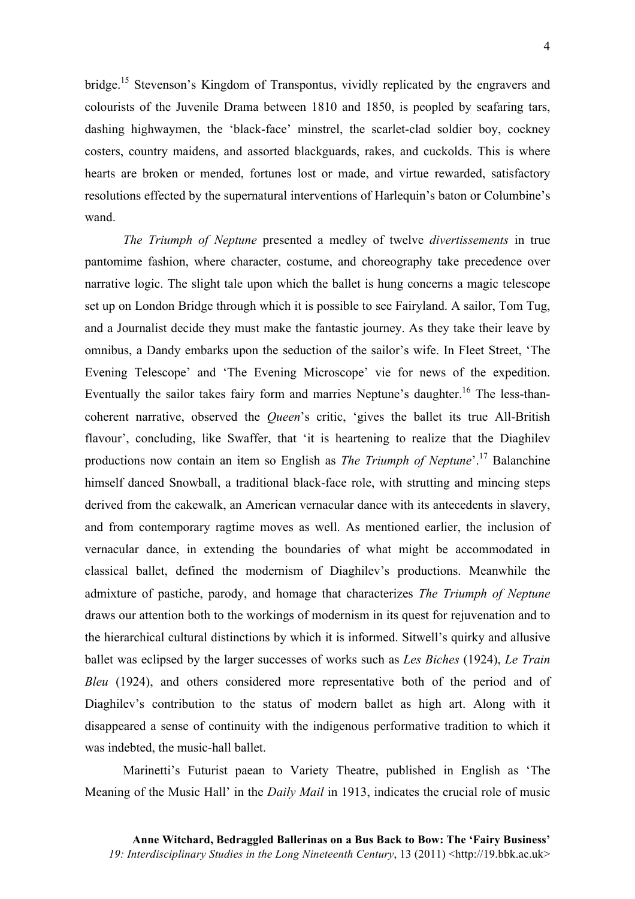bridge.<sup>15</sup> Stevenson's Kingdom of Transpontus, vividly replicated by the engravers and colourists of the Juvenile Drama between 1810 and 1850, is peopled by seafaring tars, dashing highwaymen, the 'black-face' minstrel, the scarlet-clad soldier boy, cockney costers, country maidens, and assorted blackguards, rakes, and cuckolds. This is where hearts are broken or mended, fortunes lost or made, and virtue rewarded, satisfactory resolutions effected by the supernatural interventions of Harlequin's baton or Columbine's wand.

*The Triumph of Neptune* presented a medley of twelve *divertissements* in true pantomime fashion, where character, costume, and choreography take precedence over narrative logic. The slight tale upon which the ballet is hung concerns a magic telescope set up on London Bridge through which it is possible to see Fairyland. A sailor, Tom Tug, and a Journalist decide they must make the fantastic journey. As they take their leave by omnibus, a Dandy embarks upon the seduction of the sailor's wife. In Fleet Street, 'The Evening Telescope' and 'The Evening Microscope' vie for news of the expedition. Eventually the sailor takes fairy form and marries Neptune's daughter.<sup>16</sup> The less-thancoherent narrative, observed the *Queen*'s critic, 'gives the ballet its true All-British flavour', concluding, like Swaffer, that 'it is heartening to realize that the Diaghilev productions now contain an item so English as *The Triumph of Neptune*'. <sup>17</sup> Balanchine himself danced Snowball, a traditional black-face role, with strutting and mincing steps derived from the cakewalk, an American vernacular dance with its antecedents in slavery, and from contemporary ragtime moves as well. As mentioned earlier, the inclusion of vernacular dance, in extending the boundaries of what might be accommodated in classical ballet, defined the modernism of Diaghilev's productions. Meanwhile the admixture of pastiche, parody, and homage that characterizes *The Triumph of Neptune* draws our attention both to the workings of modernism in its quest for rejuvenation and to the hierarchical cultural distinctions by which it is informed. Sitwell's quirky and allusive ballet was eclipsed by the larger successes of works such as *Les Biches* (1924), *Le Train Bleu* (1924), and others considered more representative both of the period and of Diaghilev's contribution to the status of modern ballet as high art. Along with it disappeared a sense of continuity with the indigenous performative tradition to which it was indebted, the music-hall ballet.

Marinetti's Futurist paean to Variety Theatre, published in English as 'The Meaning of the Music Hall' in the *Daily Mail* in 1913, indicates the crucial role of music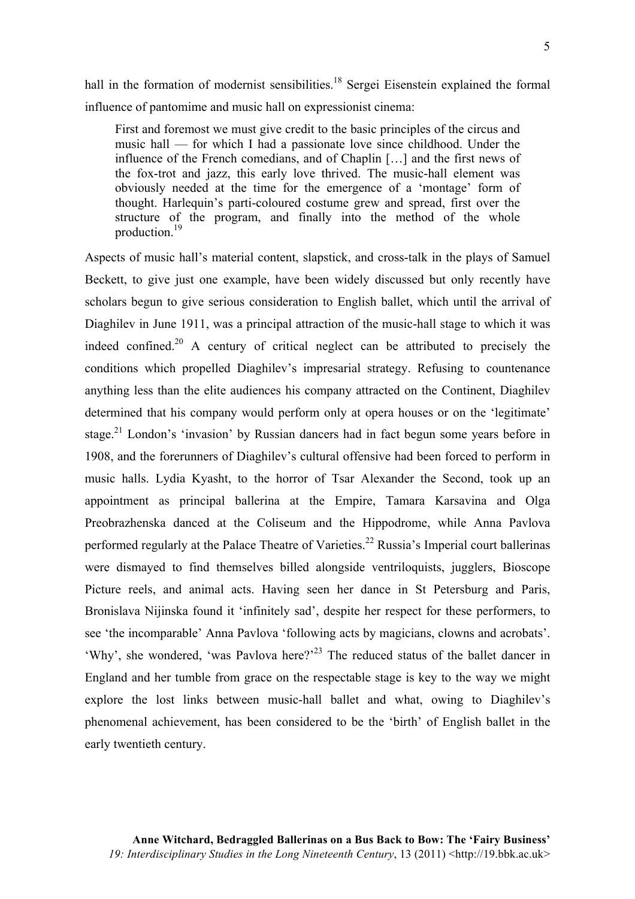hall in the formation of modernist sensibilities.<sup>18</sup> Sergei Eisenstein explained the formal influence of pantomime and music hall on expressionist cinema:

First and foremost we must give credit to the basic principles of the circus and music hall — for which I had a passionate love since childhood. Under the influence of the French comedians, and of Chaplin […] and the first news of the fox-trot and jazz, this early love thrived. The music-hall element was obviously needed at the time for the emergence of a 'montage' form of thought. Harlequin's parti-coloured costume grew and spread, first over the structure of the program, and finally into the method of the whole production.19

Aspects of music hall's material content, slapstick, and cross-talk in the plays of Samuel Beckett, to give just one example, have been widely discussed but only recently have scholars begun to give serious consideration to English ballet, which until the arrival of Diaghilev in June 1911, was a principal attraction of the music-hall stage to which it was indeed confined.<sup>20</sup> A century of critical neglect can be attributed to precisely the conditions which propelled Diaghilev's impresarial strategy. Refusing to countenance anything less than the elite audiences his company attracted on the Continent, Diaghilev determined that his company would perform only at opera houses or on the 'legitimate' stage.<sup>21</sup> London's 'invasion' by Russian dancers had in fact begun some years before in 1908, and the forerunners of Diaghilev's cultural offensive had been forced to perform in music halls. Lydia Kyasht, to the horror of Tsar Alexander the Second, took up an appointment as principal ballerina at the Empire, Tamara Karsavina and Olga Preobrazhenska danced at the Coliseum and the Hippodrome, while Anna Pavlova performed regularly at the Palace Theatre of Varieties.<sup>22</sup> Russia's Imperial court ballerinas were dismayed to find themselves billed alongside ventriloquists, jugglers, Bioscope Picture reels, and animal acts. Having seen her dance in St Petersburg and Paris, Bronislava Nijinska found it 'infinitely sad', despite her respect for these performers, to see 'the incomparable' Anna Pavlova 'following acts by magicians, clowns and acrobats'. 'Why', she wondered, 'was Pavlova here?'<sup>23</sup> The reduced status of the ballet dancer in England and her tumble from grace on the respectable stage is key to the way we might explore the lost links between music-hall ballet and what, owing to Diaghilev's phenomenal achievement, has been considered to be the 'birth' of English ballet in the early twentieth century.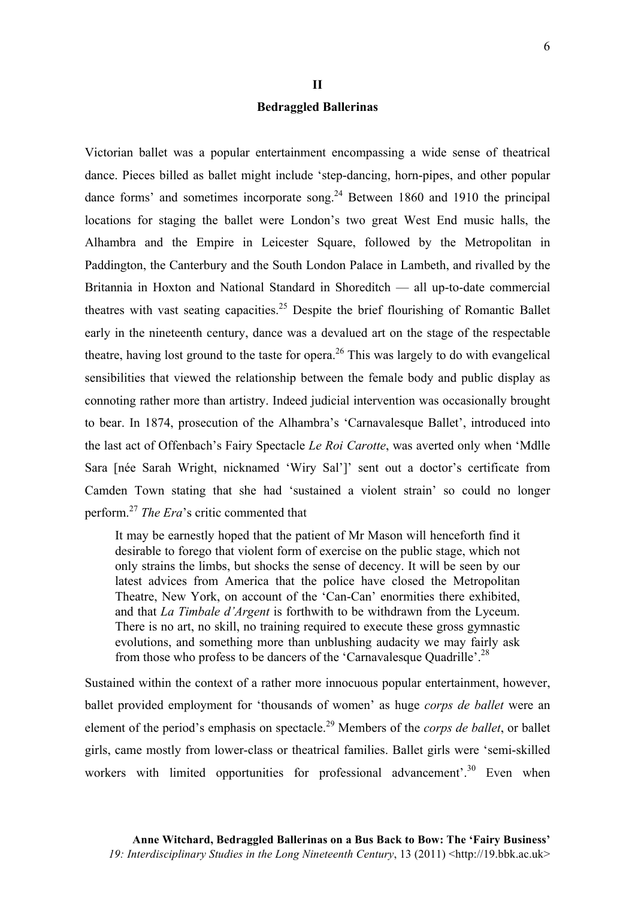### **II Bedraggled Ballerinas**

Victorian ballet was a popular entertainment encompassing a wide sense of theatrical dance. Pieces billed as ballet might include 'step-dancing, horn-pipes, and other popular dance forms' and sometimes incorporate song.<sup>24</sup> Between 1860 and 1910 the principal locations for staging the ballet were London's two great West End music halls, the Alhambra and the Empire in Leicester Square, followed by the Metropolitan in Paddington, the Canterbury and the South London Palace in Lambeth, and rivalled by the Britannia in Hoxton and National Standard in Shoreditch — all up-to-date commercial theatres with vast seating capacities.<sup>25</sup> Despite the brief flourishing of Romantic Ballet early in the nineteenth century, dance was a devalued art on the stage of the respectable theatre, having lost ground to the taste for opera.<sup>26</sup> This was largely to do with evangelical sensibilities that viewed the relationship between the female body and public display as connoting rather more than artistry. Indeed judicial intervention was occasionally brought to bear. In 1874, prosecution of the Alhambra's 'Carnavalesque Ballet', introduced into the last act of Offenbach's Fairy Spectacle *Le Roi Carotte*, was averted only when 'Mdlle Sara [née Sarah Wright, nicknamed 'Wiry Sal']' sent out a doctor's certificate from Camden Town stating that she had 'sustained a violent strain' so could no longer perform.<sup>27</sup> *The Era*'s critic commented that

It may be earnestly hoped that the patient of Mr Mason will henceforth find it desirable to forego that violent form of exercise on the public stage, which not only strains the limbs, but shocks the sense of decency. It will be seen by our latest advices from America that the police have closed the Metropolitan Theatre, New York, on account of the 'Can-Can' enormities there exhibited, and that *La Timbale d'Argent* is forthwith to be withdrawn from the Lyceum. There is no art, no skill, no training required to execute these gross gymnastic evolutions, and something more than unblushing audacity we may fairly ask from those who profess to be dancers of the 'Carnavalesque Quadrille'.<sup>28</sup>

Sustained within the context of a rather more innocuous popular entertainment, however, ballet provided employment for 'thousands of women' as huge *corps de ballet* were an element of the period's emphasis on spectacle. <sup>29</sup> Members of the *corps de ballet*, or ballet girls, came mostly from lower-class or theatrical families. Ballet girls were 'semi-skilled workers with limited opportunities for professional advancement'.<sup>30</sup> Even when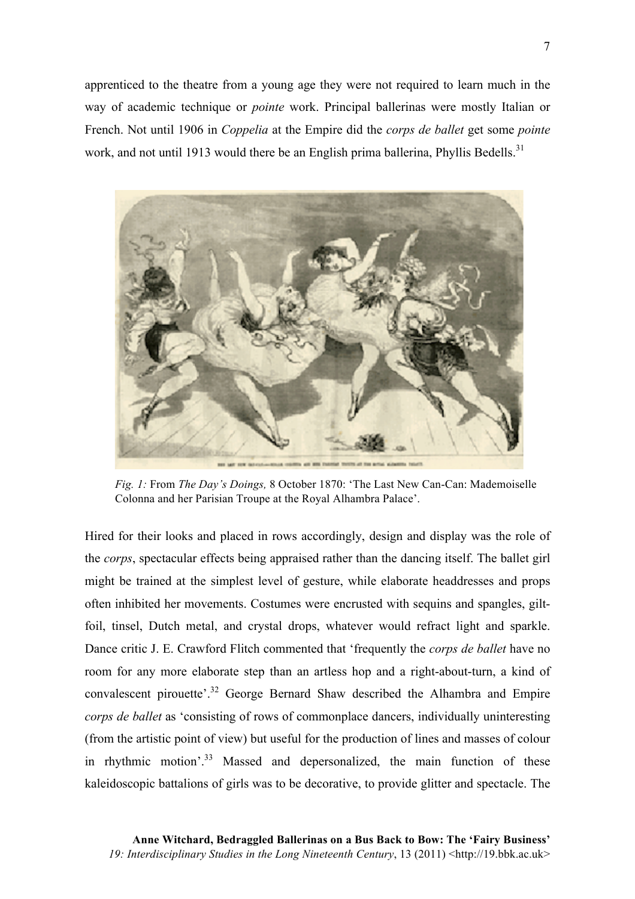apprenticed to the theatre from a young age they were not required to learn much in the way of academic technique or *pointe* work. Principal ballerinas were mostly Italian or French. Not until 1906 in *Coppelia* at the Empire did the *corps de ballet* get some *pointe*  work, and not until 1913 would there be an English prima ballerina, Phyllis Bedells.<sup>31</sup>



*Fig. 1:* From *The Day's Doings,* 8 October 1870: 'The Last New Can-Can: Mademoiselle Colonna and her Parisian Troupe at the Royal Alhambra Palace'.

Hired for their looks and placed in rows accordingly, design and display was the role of the *corps*, spectacular effects being appraised rather than the dancing itself. The ballet girl might be trained at the simplest level of gesture, while elaborate headdresses and props often inhibited her movements. Costumes were encrusted with sequins and spangles, giltfoil, tinsel, Dutch metal, and crystal drops, whatever would refract light and sparkle. Dance critic J. E. Crawford Flitch commented that 'frequently the *corps de ballet* have no room for any more elaborate step than an artless hop and a right-about-turn, a kind of convalescent pirouette'. <sup>32</sup> George Bernard Shaw described the Alhambra and Empire *corps de ballet* as 'consisting of rows of commonplace dancers, individually uninteresting (from the artistic point of view) but useful for the production of lines and masses of colour in rhythmic motion<sup>'33</sup> Massed and depersonalized, the main function of these kaleidoscopic battalions of girls was to be decorative, to provide glitter and spectacle. The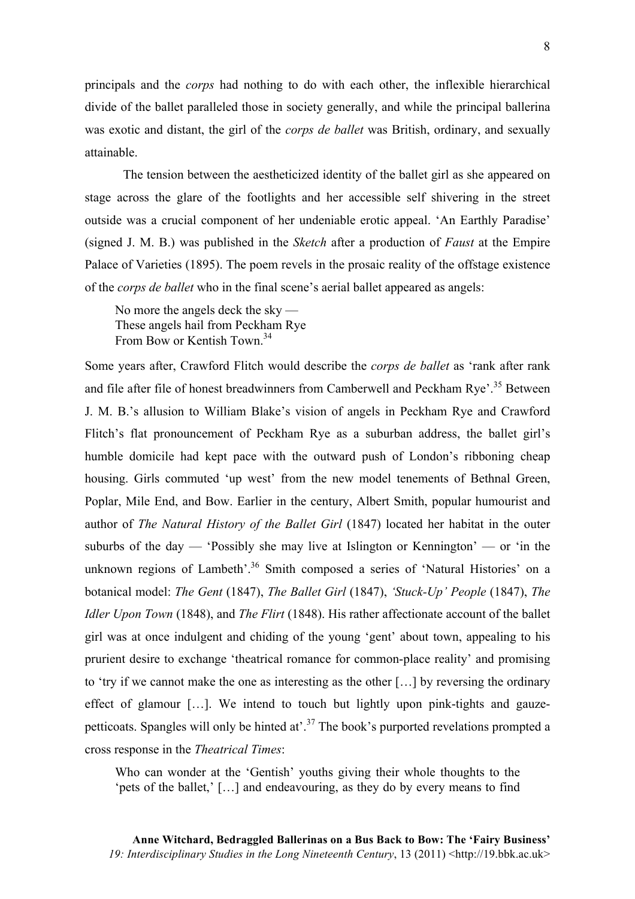principals and the *corps* had nothing to do with each other, the inflexible hierarchical divide of the ballet paralleled those in society generally, and while the principal ballerina was exotic and distant, the girl of the *corps de ballet* was British, ordinary, and sexually attainable.

The tension between the aestheticized identity of the ballet girl as she appeared on stage across the glare of the footlights and her accessible self shivering in the street outside was a crucial component of her undeniable erotic appeal. 'An Earthly Paradise' (signed J. M. B.) was published in the *Sketch* after a production of *Faust* at the Empire Palace of Varieties (1895). The poem revels in the prosaic reality of the offstage existence of the *corps de ballet* who in the final scene's aerial ballet appeared as angels:

No more the angels deck the sky — These angels hail from Peckham Rye From Bow or Kentish Town. 34

Some years after, Crawford Flitch would describe the *corps de ballet* as 'rank after rank and file after file of honest breadwinners from Camberwell and Peckham Rye'. <sup>35</sup> Between J. M. B.'s allusion to William Blake's vision of angels in Peckham Rye and Crawford Flitch's flat pronouncement of Peckham Rye as a suburban address, the ballet girl's humble domicile had kept pace with the outward push of London's ribboning cheap housing. Girls commuted 'up west' from the new model tenements of Bethnal Green, Poplar, Mile End, and Bow. Earlier in the century, Albert Smith, popular humourist and author of *The Natural History of the Ballet Girl* (1847) located her habitat in the outer suburbs of the day — 'Possibly she may live at Islington or Kennington' — or 'in the unknown regions of Lambeth'.<sup>36</sup> Smith composed a series of 'Natural Histories' on a botanical model: *The Gent* (1847), *The Ballet Girl* (1847), *'Stuck-Up' People* (1847), *The Idler Upon Town* (1848), and *The Flirt* (1848). His rather affectionate account of the ballet girl was at once indulgent and chiding of the young 'gent' about town, appealing to his prurient desire to exchange 'theatrical romance for common-place reality' and promising to 'try if we cannot make the one as interesting as the other […] by reversing the ordinary effect of glamour […]. We intend to touch but lightly upon pink-tights and gauzepetticoats. Spangles will only be hinted at'.<sup>37</sup> The book's purported revelations prompted a cross response in the *Theatrical Times*:

Who can wonder at the 'Gentish' youths giving their whole thoughts to the 'pets of the ballet,' […] and endeavouring, as they do by every means to find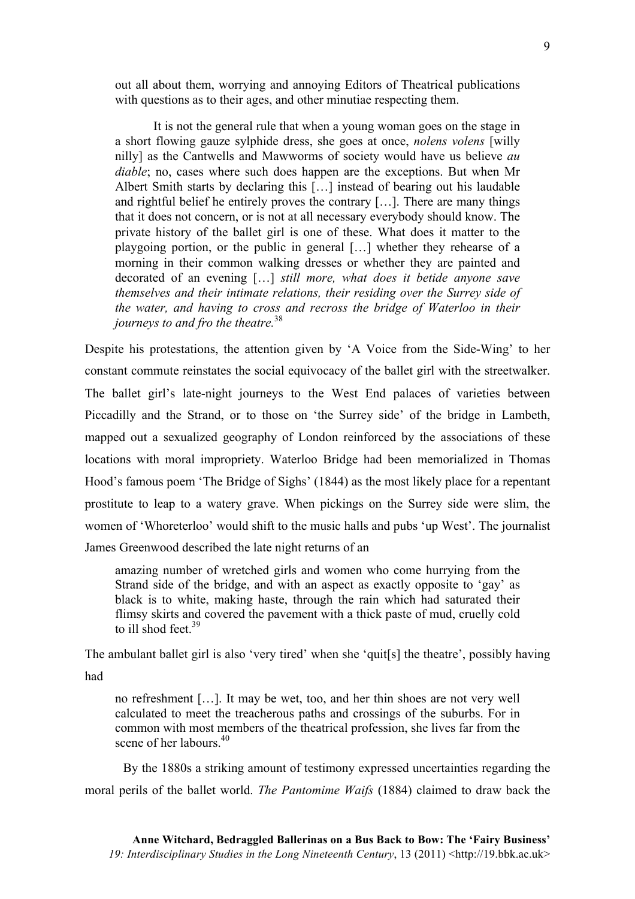out all about them, worrying and annoying Editors of Theatrical publications with questions as to their ages, and other minutiae respecting them.

It is not the general rule that when a young woman goes on the stage in a short flowing gauze sylphide dress, she goes at once, *nolens volens* [willy nilly] as the Cantwells and Mawworms of society would have us believe *au diable*; no, cases where such does happen are the exceptions. But when Mr Albert Smith starts by declaring this […] instead of bearing out his laudable and rightful belief he entirely proves the contrary […]. There are many things that it does not concern, or is not at all necessary everybody should know. The private history of the ballet girl is one of these. What does it matter to the playgoing portion, or the public in general […] whether they rehearse of a morning in their common walking dresses or whether they are painted and decorated of an evening […] *still more, what does it betide anyone save themselves and their intimate relations, their residing over the Surrey side of the water, and having to cross and recross the bridge of Waterloo in their journeys to and fro the theatre.*<sup>38</sup>

Despite his protestations, the attention given by 'A Voice from the Side-Wing' to her constant commute reinstates the social equivocacy of the ballet girl with the streetwalker. The ballet girl's late-night journeys to the West End palaces of varieties between Piccadilly and the Strand, or to those on 'the Surrey side' of the bridge in Lambeth, mapped out a sexualized geography of London reinforced by the associations of these locations with moral impropriety. Waterloo Bridge had been memorialized in Thomas Hood's famous poem 'The Bridge of Sighs' (1844) as the most likely place for a repentant prostitute to leap to a watery grave. When pickings on the Surrey side were slim, the women of 'Whoreterloo' would shift to the music halls and pubs 'up West'. The journalist James Greenwood described the late night returns of an

amazing number of wretched girls and women who come hurrying from the Strand side of the bridge, and with an aspect as exactly opposite to 'gay' as black is to white, making haste, through the rain which had saturated their flimsy skirts and covered the pavement with a thick paste of mud, cruelly cold to ill shod feet. $39$ 

The ambulant ballet girl is also 'very tired' when she 'quit[s] the theatre', possibly having had

no refreshment […]. It may be wet, too, and her thin shoes are not very well calculated to meet the treacherous paths and crossings of the suburbs. For in common with most members of the theatrical profession, she lives far from the scene of her labours.<sup>40</sup>

By the 1880s a striking amount of testimony expressed uncertainties regarding the moral perils of the ballet world. *The Pantomime Waifs* (1884) claimed to draw back the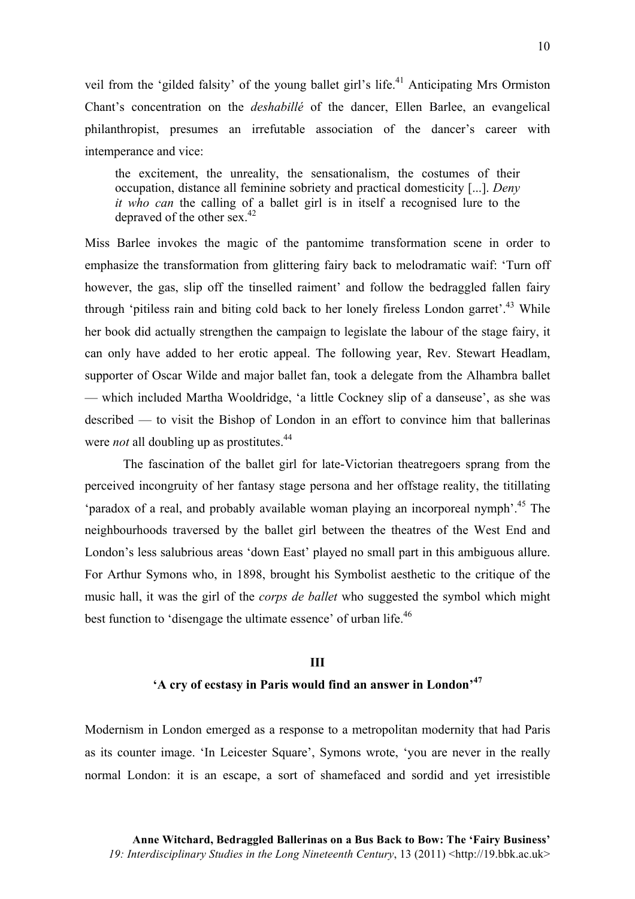veil from the 'gilded falsity' of the young ballet girl's life.<sup>41</sup> Anticipating Mrs Ormiston Chant's concentration on the *deshabillé* of the dancer, Ellen Barlee, an evangelical philanthropist, presumes an irrefutable association of the dancer's career with intemperance and vice:

the excitement, the unreality, the sensationalism, the costumes of their occupation, distance all feminine sobriety and practical domesticity [...]. *Deny it who can* the calling of a ballet girl is in itself a recognised lure to the depraved of the other sex. $42$ 

Miss Barlee invokes the magic of the pantomime transformation scene in order to emphasize the transformation from glittering fairy back to melodramatic waif: 'Turn off however, the gas, slip off the tinselled raiment' and follow the bedraggled fallen fairy through 'pitiless rain and biting cold back to her lonely fireless London garret'.<sup>43</sup> While her book did actually strengthen the campaign to legislate the labour of the stage fairy, it can only have added to her erotic appeal. The following year, Rev. Stewart Headlam, supporter of Oscar Wilde and major ballet fan, took a delegate from the Alhambra ballet — which included Martha Wooldridge, 'a little Cockney slip of a danseuse', as she was described — to visit the Bishop of London in an effort to convince him that ballerinas were *not* all doubling up as prostitutes.<sup>44</sup>

The fascination of the ballet girl for late-Victorian theatregoers sprang from the perceived incongruity of her fantasy stage persona and her offstage reality, the titillating 'paradox of a real, and probably available woman playing an incorporeal nymph'. <sup>45</sup> The neighbourhoods traversed by the ballet girl between the theatres of the West End and London's less salubrious areas 'down East' played no small part in this ambiguous allure. For Arthur Symons who, in 1898, brought his Symbolist aesthetic to the critique of the music hall, it was the girl of the *corps de ballet* who suggested the symbol which might best function to 'disengage the ultimate essence' of urban life.<sup>46</sup>

## **III 'A cry of ecstasy in Paris would find an answer in London'<sup>47</sup>**

Modernism in London emerged as a response to a metropolitan modernity that had Paris as its counter image. 'In Leicester Square', Symons wrote, 'you are never in the really normal London: it is an escape, a sort of shamefaced and sordid and yet irresistible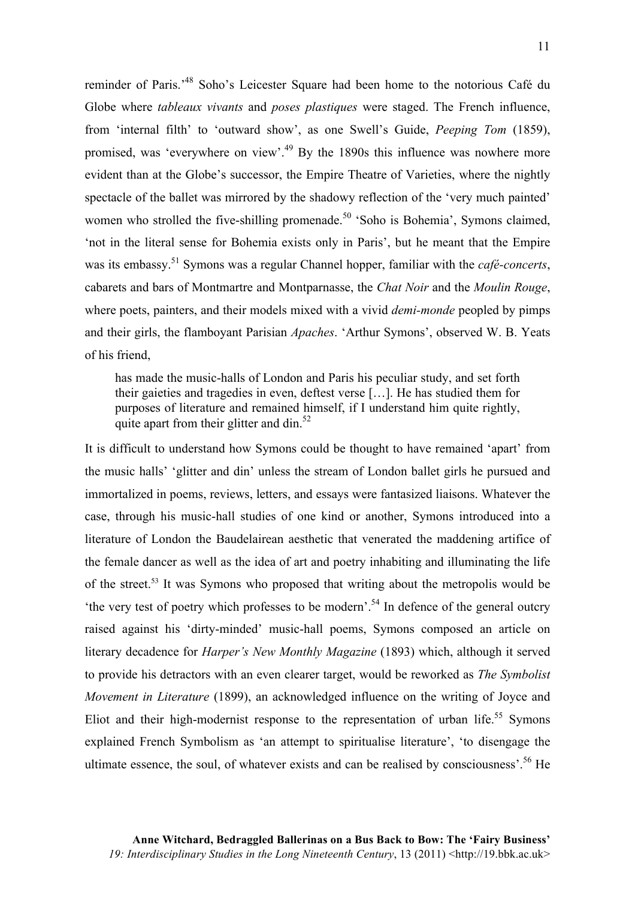reminder of Paris.'48 Soho's Leicester Square had been home to the notorious Café du Globe where *tableaux vivants* and *poses plastiques* were staged. The French influence, from 'internal filth' to 'outward show', as one Swell's Guide, *Peeping Tom* (1859), promised, was 'everywhere on view'.<sup>49</sup> By the 1890s this influence was nowhere more evident than at the Globe's successor, the Empire Theatre of Varieties, where the nightly spectacle of the ballet was mirrored by the shadowy reflection of the 'very much painted' women who strolled the five-shilling promenade.<sup>50</sup> 'Soho is Bohemia', Symons claimed, 'not in the literal sense for Bohemia exists only in Paris', but he meant that the Empire was its embassy.<sup>51</sup> Symons was a regular Channel hopper, familiar with the *café-concerts*, cabarets and bars of Montmartre and Montparnasse, the *Chat Noir* and the *Moulin Rouge*, where poets, painters, and their models mixed with a vivid *demi-monde* peopled by pimps and their girls, the flamboyant Parisian *Apaches*. 'Arthur Symons', observed W. B. Yeats of his friend,

has made the music-halls of London and Paris his peculiar study, and set forth their gaieties and tragedies in even, deftest verse […]. He has studied them for purposes of literature and remained himself, if I understand him quite rightly, quite apart from their glitter and din.<sup>52</sup>

It is difficult to understand how Symons could be thought to have remained 'apart' from the music halls' 'glitter and din' unless the stream of London ballet girls he pursued and immortalized in poems, reviews, letters, and essays were fantasized liaisons. Whatever the case, through his music-hall studies of one kind or another, Symons introduced into a literature of London the Baudelairean aesthetic that venerated the maddening artifice of the female dancer as well as the idea of art and poetry inhabiting and illuminating the life of the street.<sup>53</sup> It was Symons who proposed that writing about the metropolis would be 'the very test of poetry which professes to be modern'.54 In defence of the general outcry raised against his 'dirty-minded' music-hall poems, Symons composed an article on literary decadence for *Harper's New Monthly Magazine* (1893) which, although it served to provide his detractors with an even clearer target, would be reworked as *The Symbolist Movement in Literature* (1899), an acknowledged influence on the writing of Joyce and Eliot and their high-modernist response to the representation of urban life.<sup>55</sup> Symons explained French Symbolism as 'an attempt to spiritualise literature', 'to disengage the ultimate essence, the soul, of whatever exists and can be realised by consciousness'. <sup>56</sup> He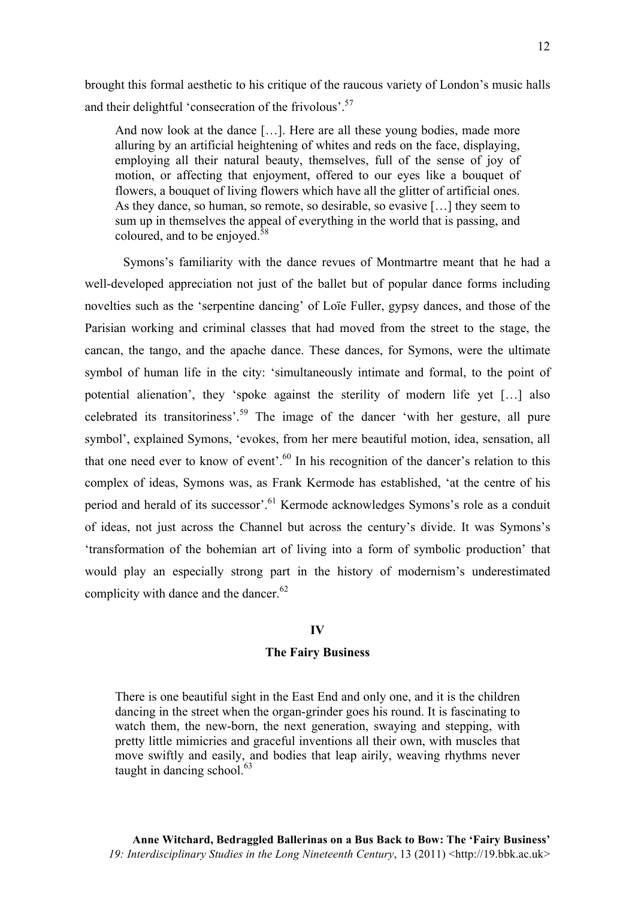brought this formal aesthetic to his critique of the raucous variety of London's music halls and their delightful 'consecration of the frivolous'.<sup>57</sup>

And now look at the dance […]. Here are all these young bodies, made more alluring by an artificial heightening of whites and reds on the face, displaying, employing all their natural beauty, themselves, full of the sense of joy of motion, or affecting that enjoyment, offered to our eyes like a bouquet of flowers, a bouquet of living flowers which have all the glitter of artificial ones. As they dance, so human, so remote, so desirable, so evasive […] they seem to sum up in themselves the appeal of everything in the world that is passing, and coloured, and to be enjoyed.<sup>58</sup>

Symons's familiarity with the dance revues of Montmartre meant that he had a well-developed appreciation not just of the ballet but of popular dance forms including novelties such as the 'serpentine dancing' of Loïe Fuller, gypsy dances, and those of the Parisian working and criminal classes that had moved from the street to the stage, the cancan, the tango, and the apache dance. These dances, for Symons, were the ultimate symbol of human life in the city: 'simultaneously intimate and formal, to the point of potential alienation', they 'spoke against the sterility of modern life yet […] also celebrated its transitoriness'.59 The image of the dancer 'with her gesture, all pure symbol', explained Symons, 'evokes, from her mere beautiful motion, idea, sensation, all that one need ever to know of event'.<sup>60</sup> In his recognition of the dancer's relation to this complex of ideas, Symons was, as Frank Kermode has established, 'at the centre of his period and herald of its successor'.<sup>61</sup> Kermode acknowledges Symons's role as a conduit of ideas, not just across the Channel but across the century's divide. It was Symons's 'transformation of the bohemian art of living into a form of symbolic production' that would play an especially strong part in the history of modernism's underestimated complicity with dance and the dancer.<sup>62</sup>

#### **IV**

### **The Fairy Business**

There is one beautiful sight in the East End and only one, and it is the children dancing in the street when the organ-grinder goes his round. It is fascinating to watch them, the new-born, the next generation, swaying and stepping, with pretty little mimicries and graceful inventions all their own, with muscles that move swiftly and easily, and bodies that leap airily, weaving rhythms never taught in dancing school. 63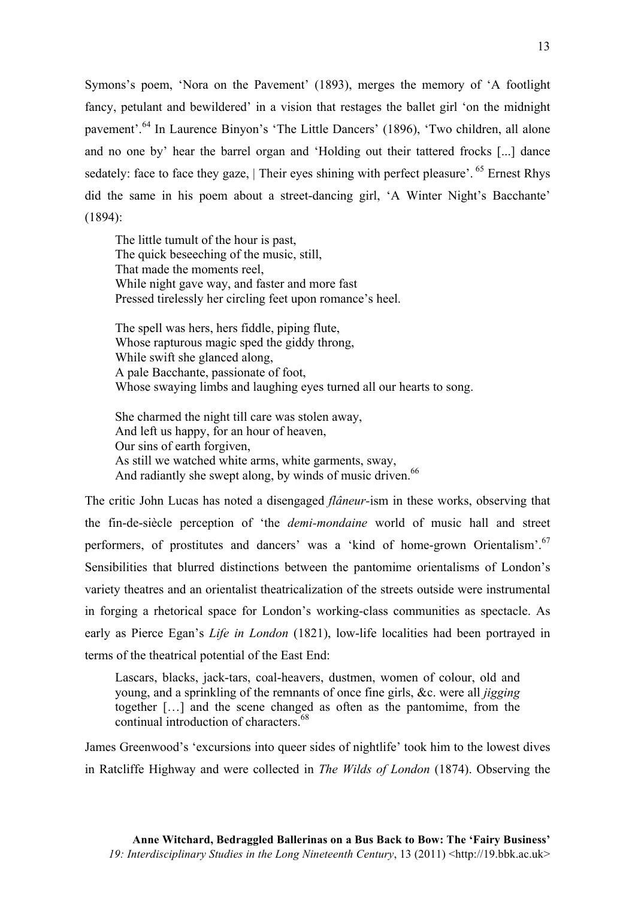Symons's poem, 'Nora on the Pavement' (1893), merges the memory of 'A footlight fancy, petulant and bewildered' in a vision that restages the ballet girl 'on the midnight pavement'.<sup>64</sup> In Laurence Binyon's 'The Little Dancers' (1896), 'Two children, all alone and no one by' hear the barrel organ and 'Holding out their tattered frocks [...] dance sedately: face to face they gaze, | Their eyes shining with perfect pleasure'. <sup>65</sup> Ernest Rhys did the same in his poem about a street-dancing girl, 'A Winter Night's Bacchante' (1894):

The little tumult of the hour is past, The quick beseeching of the music, still, That made the moments reel, While night gave way, and faster and more fast Pressed tirelessly her circling feet upon romance's heel.

The spell was hers, hers fiddle, piping flute, Whose rapturous magic sped the giddy throng, While swift she glanced along, A pale Bacchante, passionate of foot, Whose swaying limbs and laughing eyes turned all our hearts to song.

She charmed the night till care was stolen away, And left us happy, for an hour of heaven, Our sins of earth forgiven, As still we watched white arms, white garments, sway, And radiantly she swept along, by winds of music driven.<sup>66</sup>

The critic John Lucas has noted a disengaged *flâneur-*ism in these works, observing that the fin-de-siècle perception of 'the *demi-mondaine* world of music hall and street performers, of prostitutes and dancers' was a 'kind of home-grown Orientalism'.<sup>67</sup> Sensibilities that blurred distinctions between the pantomime orientalisms of London's variety theatres and an orientalist theatricalization of the streets outside were instrumental in forging a rhetorical space for London's working-class communities as spectacle. As early as Pierce Egan's *Life in London* (1821), low-life localities had been portrayed in terms of the theatrical potential of the East End:

Lascars, blacks, jack-tars, coal-heavers, dustmen, women of colour, old and young, and a sprinkling of the remnants of once fine girls, &c. were all *jigging* together […] and the scene changed as often as the pantomime, from the continual introduction of characters. 68

James Greenwood's 'excursions into queer sides of nightlife' took him to the lowest dives in Ratcliffe Highway and were collected in *The Wilds of London* (1874). Observing the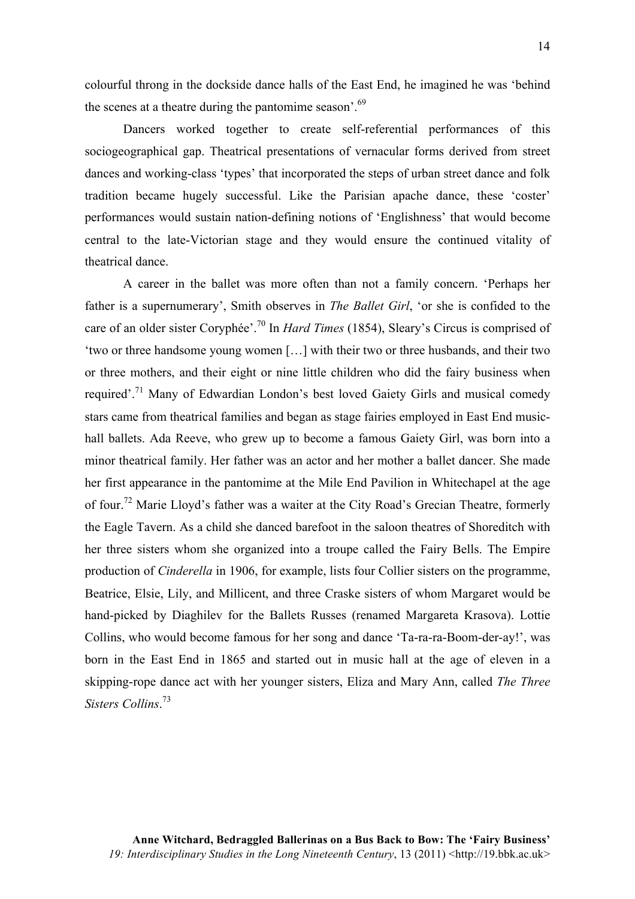colourful throng in the dockside dance halls of the East End, he imagined he was 'behind the scenes at a theatre during the pantomime season'.<sup>69</sup>

Dancers worked together to create self-referential performances of this sociogeographical gap. Theatrical presentations of vernacular forms derived from street dances and working-class 'types' that incorporated the steps of urban street dance and folk tradition became hugely successful. Like the Parisian apache dance, these 'coster' performances would sustain nation-defining notions of 'Englishness' that would become central to the late-Victorian stage and they would ensure the continued vitality of theatrical dance.

A career in the ballet was more often than not a family concern. 'Perhaps her father is a supernumerary', Smith observes in *The Ballet Girl*, 'or she is confided to the care of an older sister Coryphée'. <sup>70</sup> In *Hard Times* (1854), Sleary's Circus is comprised of 'two or three handsome young women […] with their two or three husbands, and their two or three mothers, and their eight or nine little children who did the fairy business when required'.<sup>71</sup> Many of Edwardian London's best loved Gaiety Girls and musical comedy stars came from theatrical families and began as stage fairies employed in East End musichall ballets. Ada Reeve, who grew up to become a famous Gaiety Girl, was born into a minor theatrical family. Her father was an actor and her mother a ballet dancer. She made her first appearance in the pantomime at the Mile End Pavilion in Whitechapel at the age of four.<sup>72</sup> Marie Lloyd's father was a waiter at the City Road's Grecian Theatre, formerly the Eagle Tavern. As a child she danced barefoot in the saloon theatres of Shoreditch with her three sisters whom she organized into a troupe called the Fairy Bells. The Empire production of *Cinderella* in 1906, for example, lists four Collier sisters on the programme, Beatrice, Elsie, Lily, and Millicent, and three Craske sisters of whom Margaret would be hand-picked by Diaghilev for the Ballets Russes (renamed Margareta Krasova). Lottie Collins, who would become famous for her song and dance 'Ta-ra-ra-Boom-der-ay!', was born in the East End in 1865 and started out in music hall at the age of eleven in a skipping-rope dance act with her younger sisters, Eliza and Mary Ann, called *The Three Sisters Collins*. 73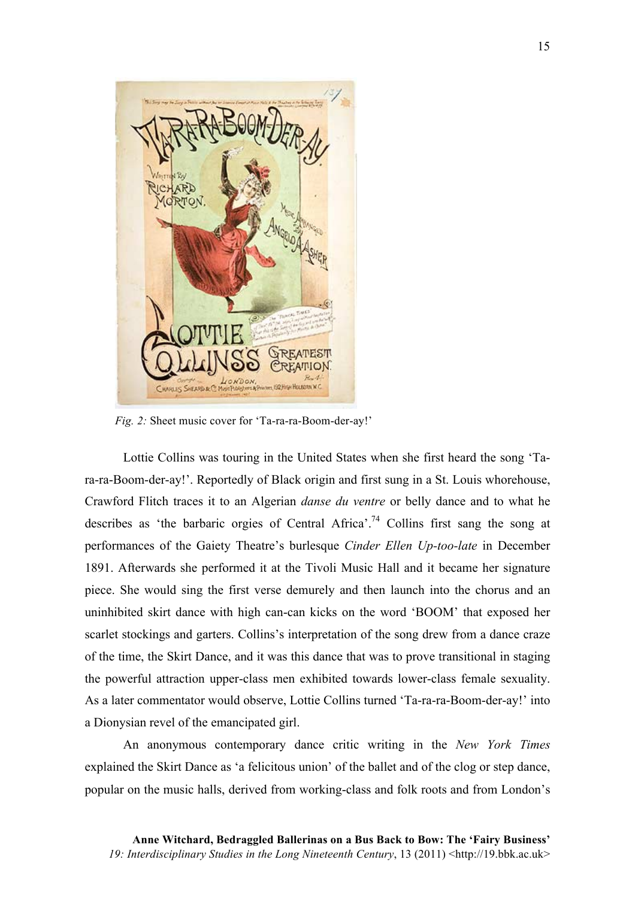

*Fig. 2:* Sheet music cover for 'Ta-ra-ra-Boom-der-ay!'

Lottie Collins was touring in the United States when she first heard the song 'Tara-ra-Boom-der-ay!'. Reportedly of Black origin and first sung in a St. Louis whorehouse, Crawford Flitch traces it to an Algerian *danse du ventre* or belly dance and to what he describes as 'the barbaric orgies of Central Africa'.<sup>74</sup> Collins first sang the song at performances of the Gaiety Theatre's burlesque *Cinder Ellen Up-too-late* in December 1891. Afterwards she performed it at the Tivoli Music Hall and it became her signature piece. She would sing the first verse demurely and then launch into the chorus and an uninhibited skirt dance with high can-can kicks on the word 'BOOM' that exposed her scarlet stockings and garters. Collins's interpretation of the song drew from a dance craze of the time, the Skirt Dance, and it was this dance that was to prove transitional in staging the powerful attraction upper-class men exhibited towards lower-class female sexuality. As a later commentator would observe, Lottie Collins turned 'Ta-ra-ra-Boom-der-ay!' into a Dionysian revel of the emancipated girl.

An anonymous contemporary dance critic writing in the *New York Times* explained the Skirt Dance as 'a felicitous union' of the ballet and of the clog or step dance, popular on the music halls, derived from working-class and folk roots and from London's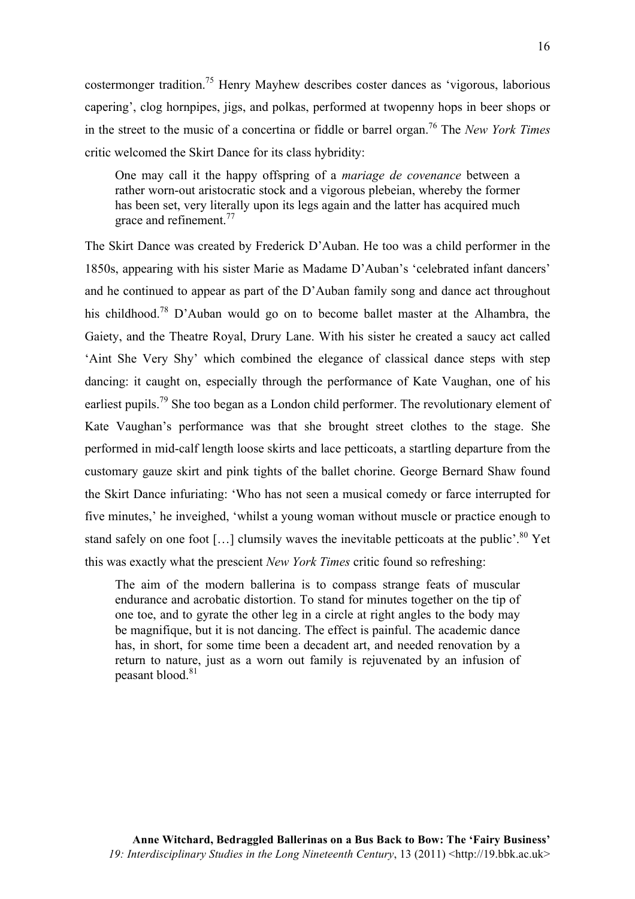costermonger tradition.75 Henry Mayhew describes coster dances as 'vigorous, laborious capering', clog hornpipes, jigs, and polkas, performed at twopenny hops in beer shops or in the street to the music of a concertina or fiddle or barrel organ. <sup>76</sup> The *New York Times* critic welcomed the Skirt Dance for its class hybridity:

One may call it the happy offspring of a *mariage de covenance* between a rather worn-out aristocratic stock and a vigorous plebeian, whereby the former has been set, very literally upon its legs again and the latter has acquired much grace and refinement.<sup>77</sup>

The Skirt Dance was created by Frederick D'Auban. He too was a child performer in the 1850s, appearing with his sister Marie as Madame D'Auban's 'celebrated infant dancers' and he continued to appear as part of the D'Auban family song and dance act throughout his childhood.<sup>78</sup> D'Auban would go on to become ballet master at the Alhambra, the Gaiety, and the Theatre Royal, Drury Lane. With his sister he created a saucy act called 'Aint She Very Shy' which combined the elegance of classical dance steps with step dancing: it caught on, especially through the performance of Kate Vaughan, one of his earliest pupils.<sup>79</sup> She too began as a London child performer. The revolutionary element of Kate Vaughan's performance was that she brought street clothes to the stage. She performed in mid-calf length loose skirts and lace petticoats, a startling departure from the customary gauze skirt and pink tights of the ballet chorine. George Bernard Shaw found the Skirt Dance infuriating: 'Who has not seen a musical comedy or farce interrupted for five minutes,' he inveighed, 'whilst a young woman without muscle or practice enough to stand safely on one foot [...] clumsily waves the inevitable petticoats at the public'. $80$  Yet this was exactly what the prescient *New York Times* critic found so refreshing:

The aim of the modern ballerina is to compass strange feats of muscular endurance and acrobatic distortion. To stand for minutes together on the tip of one toe, and to gyrate the other leg in a circle at right angles to the body may be magnifique, but it is not dancing. The effect is painful. The academic dance has, in short, for some time been a decadent art, and needed renovation by a return to nature, just as a worn out family is rejuvenated by an infusion of peasant blood.<sup>81</sup>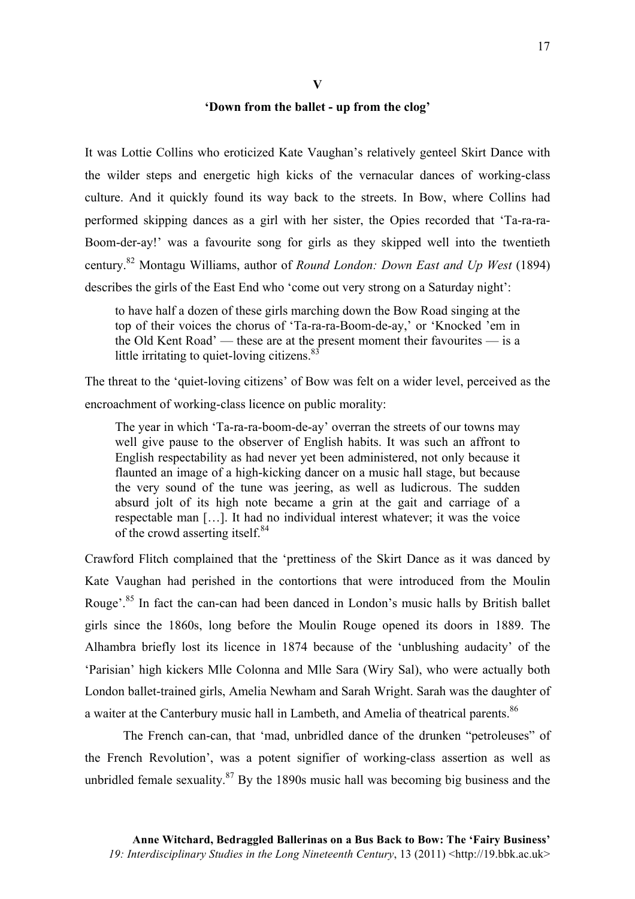**V**

### **'Down from the ballet - up from the clog'**

It was Lottie Collins who eroticized Kate Vaughan's relatively genteel Skirt Dance with the wilder steps and energetic high kicks of the vernacular dances of working-class culture. And it quickly found its way back to the streets. In Bow, where Collins had performed skipping dances as a girl with her sister, the Opies recorded that 'Ta-ra-ra-Boom-der-ay!' was a favourite song for girls as they skipped well into the twentieth century.82 Montagu Williams, author of *Round London: Down East and Up West* (1894) describes the girls of the East End who 'come out very strong on a Saturday night':

to have half a dozen of these girls marching down the Bow Road singing at the top of their voices the chorus of 'Ta-ra-ra-Boom-de-ay,' or 'Knocked 'em in the Old Kent Road' — these are at the present moment their favourites — is a little irritating to quiet-loving citizens. $83$ 

The threat to the 'quiet-loving citizens' of Bow was felt on a wider level, perceived as the encroachment of working-class licence on public morality:

The year in which 'Ta-ra-ra-boom-de-ay' overran the streets of our towns may well give pause to the observer of English habits. It was such an affront to English respectability as had never yet been administered, not only because it flaunted an image of a high-kicking dancer on a music hall stage, but because the very sound of the tune was jeering, as well as ludicrous. The sudden absurd jolt of its high note became a grin at the gait and carriage of a respectable man […]. It had no individual interest whatever; it was the voice of the crowd asserting itself.<sup>84</sup>

Crawford Flitch complained that the 'prettiness of the Skirt Dance as it was danced by Kate Vaughan had perished in the contortions that were introduced from the Moulin Rouge'.<sup>85</sup> In fact the can-can had been danced in London's music halls by British ballet girls since the 1860s, long before the Moulin Rouge opened its doors in 1889. The Alhambra briefly lost its licence in 1874 because of the 'unblushing audacity' of the 'Parisian' high kickers Mlle Colonna and Mlle Sara (Wiry Sal), who were actually both London ballet-trained girls, Amelia Newham and Sarah Wright. Sarah was the daughter of a waiter at the Canterbury music hall in Lambeth, and Amelia of theatrical parents.<sup>86</sup>

The French can-can, that 'mad, unbridled dance of the drunken "petroleuses" of the French Revolution', was a potent signifier of working-class assertion as well as unbridled female sexuality.  $87$  By the 1890s music hall was becoming big business and the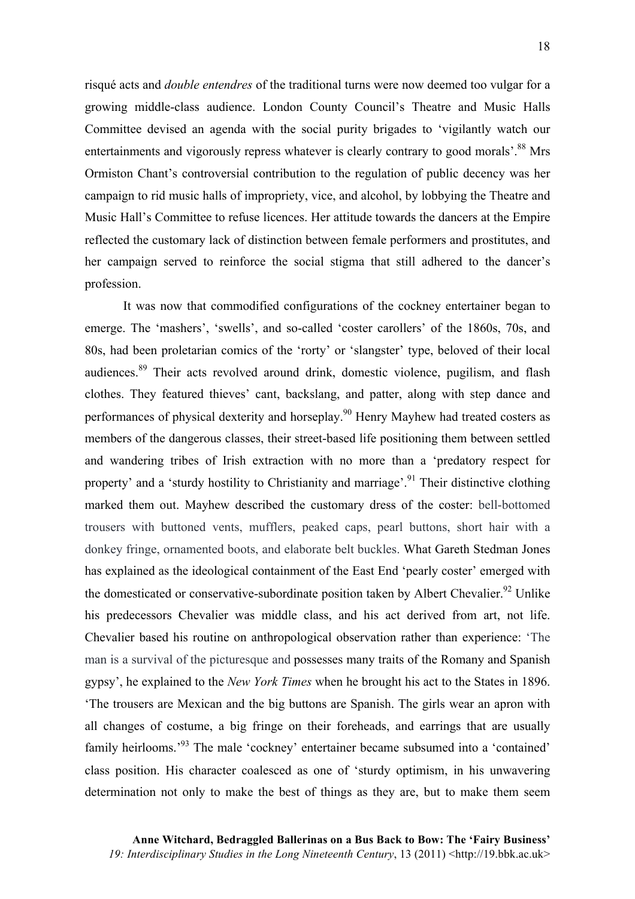risqué acts and *double entendres* of the traditional turns were now deemed too vulgar for a growing middle-class audience. London County Council's Theatre and Music Halls Committee devised an agenda with the social purity brigades to 'vigilantly watch our entertainments and vigorously repress whatever is clearly contrary to good morals<sup>'.88</sup> Mrs Ormiston Chant's controversial contribution to the regulation of public decency was her campaign to rid music halls of impropriety, vice, and alcohol, by lobbying the Theatre and Music Hall's Committee to refuse licences. Her attitude towards the dancers at the Empire reflected the customary lack of distinction between female performers and prostitutes, and her campaign served to reinforce the social stigma that still adhered to the dancer's profession.

It was now that commodified configurations of the cockney entertainer began to emerge. The 'mashers', 'swells', and so-called 'coster carollers' of the 1860s, 70s, and 80s, had been proletarian comics of the 'rorty' or 'slangster' type, beloved of their local audiences.<sup>89</sup> Their acts revolved around drink, domestic violence, pugilism, and flash clothes. They featured thieves' cant, backslang, and patter, along with step dance and performances of physical dexterity and horseplay.<sup>90</sup> Henry Mayhew had treated costers as members of the dangerous classes, their street-based life positioning them between settled and wandering tribes of Irish extraction with no more than a 'predatory respect for property' and a 'sturdy hostility to Christianity and marriage'.<sup>91</sup> Their distinctive clothing marked them out. Mayhew described the customary dress of the coster: bell-bottomed trousers with buttoned vents, mufflers, peaked caps, pearl buttons, short hair with a donkey fringe, ornamented boots, and elaborate belt buckles. What Gareth Stedman Jones has explained as the ideological containment of the East End 'pearly coster' emerged with the domesticated or conservative-subordinate position taken by Albert Chevalier.<sup>92</sup> Unlike his predecessors Chevalier was middle class, and his act derived from art, not life. Chevalier based his routine on anthropological observation rather than experience: 'The man is a survival of the picturesque and possesses many traits of the Romany and Spanish gypsy', he explained to the *New York Times* when he brought his act to the States in 1896. 'The trousers are Mexican and the big buttons are Spanish. The girls wear an apron with all changes of costume, a big fringe on their foreheads, and earrings that are usually family heirlooms.<sup>393</sup> The male 'cockney' entertainer became subsumed into a 'contained' class position. His character coalesced as one of 'sturdy optimism, in his unwavering determination not only to make the best of things as they are, but to make them seem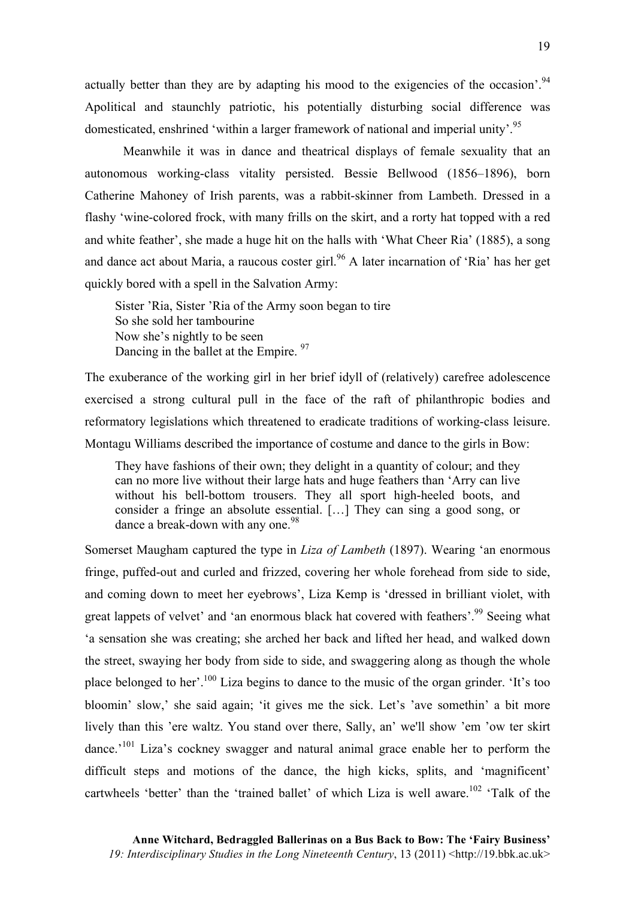actually better than they are by adapting his mood to the exigencies of the occasion'.<sup>94</sup> Apolitical and staunchly patriotic, his potentially disturbing social difference was domesticated, enshrined 'within a larger framework of national and imperial unity'.<sup>95</sup>

Meanwhile it was in dance and theatrical displays of female sexuality that an autonomous working-class vitality persisted. Bessie Bellwood (1856–1896), born Catherine Mahoney of Irish parents, was a rabbit-skinner from Lambeth. Dressed in a flashy 'wine-colored frock, with many frills on the skirt, and a rorty hat topped with a red and white feather', she made a huge hit on the halls with 'What Cheer Ria' (1885), a song and dance act about Maria, a raucous coster girl.<sup>96</sup> A later incarnation of 'Ria' has her get quickly bored with a spell in the Salvation Army:

Sister 'Ria, Sister 'Ria of the Army soon began to tire So she sold her tambourine Now she's nightly to be seen Dancing in the ballet at the Empire. <sup>97</sup>

The exuberance of the working girl in her brief idyll of (relatively) carefree adolescence exercised a strong cultural pull in the face of the raft of philanthropic bodies and reformatory legislations which threatened to eradicate traditions of working-class leisure. Montagu Williams described the importance of costume and dance to the girls in Bow:

They have fashions of their own; they delight in a quantity of colour; and they can no more live without their large hats and huge feathers than 'Arry can live without his bell-bottom trousers. They all sport high-heeled boots, and consider a fringe an absolute essential. […] They can sing a good song, or dance a break-down with any one.<sup>98</sup>

Somerset Maugham captured the type in *Liza of Lambeth* (1897). Wearing 'an enormous fringe, puffed-out and curled and frizzed, covering her whole forehead from side to side, and coming down to meet her eyebrows', Liza Kemp is 'dressed in brilliant violet, with great lappets of velvet' and 'an enormous black hat covered with feathers'.<sup>99</sup> Seeing what 'a sensation she was creating; she arched her back and lifted her head, and walked down the street, swaying her body from side to side, and swaggering along as though the whole place belonged to her'.100 Liza begins to dance to the music of the organ grinder. 'It's too bloomin' slow,' she said again; 'it gives me the sick. Let's 'ave somethin' a bit more lively than this 'ere waltz. You stand over there, Sally, an' we'll show 'em 'ow ter skirt dance.<sup>'101</sup> Liza's cockney swagger and natural animal grace enable her to perform the difficult steps and motions of the dance, the high kicks, splits, and 'magnificent' cartwheels 'better' than the 'trained ballet' of which Liza is well aware.<sup>102</sup> 'Talk of the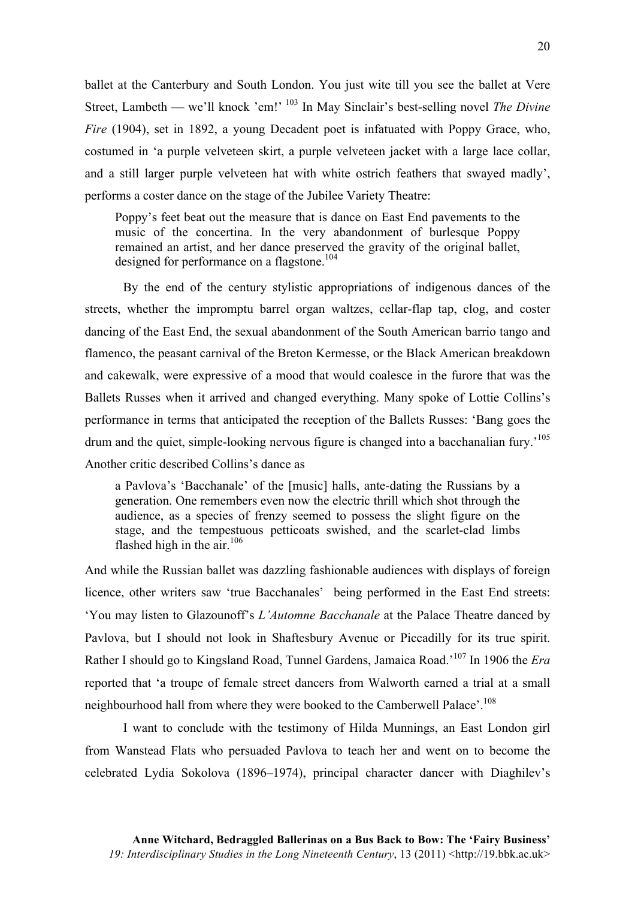ballet at the Canterbury and South London. You just wite till you see the ballet at Vere Street, Lambeth — we'll knock 'em!' <sup>103</sup> In May Sinclair's best-selling novel *The Divine Fire* (1904), set in 1892, a young Decadent poet is infatuated with Poppy Grace, who, costumed in 'a purple velveteen skirt, a purple velveteen jacket with a large lace collar, and a still larger purple velveteen hat with white ostrich feathers that swayed madly', performs a coster dance on the stage of the Jubilee Variety Theatre:

Poppy's feet beat out the measure that is dance on East End pavements to the music of the concertina. In the very abandonment of burlesque Poppy remained an artist, and her dance preserved the gravity of the original ballet, designed for performance on a flagstone.<sup>104</sup>

By the end of the century stylistic appropriations of indigenous dances of the streets, whether the impromptu barrel organ waltzes, cellar-flap tap, clog, and coster dancing of the East End, the sexual abandonment of the South American barrio tango and flamenco, the peasant carnival of the Breton Kermesse, or the Black American breakdown and cakewalk, were expressive of a mood that would coalesce in the furore that was the Ballets Russes when it arrived and changed everything. Many spoke of Lottie Collins's performance in terms that anticipated the reception of the Ballets Russes: 'Bang goes the drum and the quiet, simple-looking nervous figure is changed into a bacchanalian fury.<sup>105</sup> Another critic described Collins's dance as

a Pavlova's 'Bacchanale' of the [music] halls, ante-dating the Russians by a generation. One remembers even now the electric thrill which shot through the audience, as a species of frenzy seemed to possess the slight figure on the stage, and the tempestuous petticoats swished, and the scarlet-clad limbs flashed high in the air.<sup>106</sup>

And while the Russian ballet was dazzling fashionable audiences with displays of foreign licence, other writers saw 'true Bacchanales' being performed in the East End streets: 'You may listen to Glazounoff's *L'Automne Bacchanale* at the Palace Theatre danced by Pavlova, but I should not look in Shaftesbury Avenue or Piccadilly for its true spirit. Rather I should go to Kingsland Road, Tunnel Gardens, Jamaica Road.'107 In 1906 the *Era* reported that 'a troupe of female street dancers from Walworth earned a trial at a small neighbourhood hall from where they were booked to the Camberwell Palace'.<sup>108</sup>

I want to conclude with the testimony of Hilda Munnings, an East London girl from Wanstead Flats who persuaded Pavlova to teach her and went on to become the celebrated Lydia Sokolova (1896–1974), principal character dancer with Diaghilev's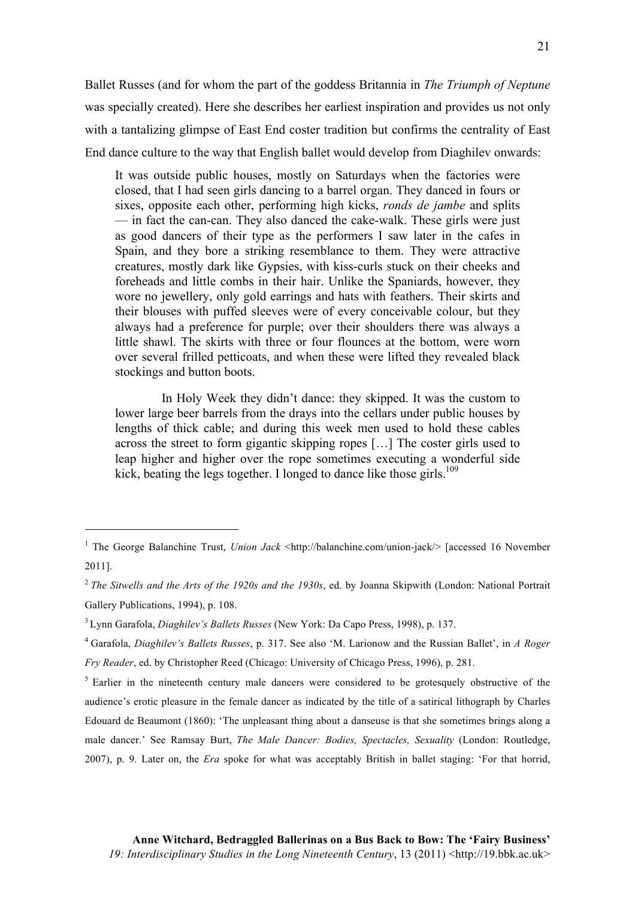Ballet Russes (and for whom the part of the goddess Britannia in *The Triumph of Neptune* was specially created). Here she describes her earliest inspiration and provides us not only with a tantalizing glimpse of East End coster tradition but confirms the centrality of East End dance culture to the way that English ballet would develop from Diaghilev onwards:

It was outside public houses, mostly on Saturdays when the factories were closed, that I had seen girls dancing to a barrel organ. They danced in fours or sixes, opposite each other, performing high kicks, *ronds de jambe* and splits — in fact the can-can. They also danced the cake-walk. These girls were just as good dancers of their type as the performers I saw later in the cafes in Spain, and they bore a striking resemblance to them. They were attractive creatures, mostly dark like Gypsies, with kiss-curls stuck on their cheeks and foreheads and little combs in their hair. Unlike the Spaniards, however, they wore no jewellery, only gold earrings and hats with feathers. Their skirts and their blouses with puffed sleeves were of every conceivable colour, but they always had a preference for purple; over their shoulders there was always a little shawl. The skirts with three or four flounces at the bottom, were worn over several frilled petticoats, and when these were lifted they revealed black stockings and button boots.

In Holy Week they didn't dance: they skipped. It was the custom to lower large beer barrels from the drays into the cellars under public houses by lengths of thick cable; and during this week men used to hold these cables across the street to form gigantic skipping ropes […] The coster girls used to leap higher and higher over the rope sometimes executing a wonderful side kick, beating the legs together. I longed to dance like those girls.<sup>109</sup>

 $\overline{a}$ 

<sup>1</sup> The George Balanchine Trust, *Union Jack* <http://balanchine.com/union-jack/> [accessed 16 November 2011].

<sup>2</sup> *The Sitwells and the Arts of the 1920s and the 1930s*, ed. by Joanna Skipwith (London: National Portrait Gallery Publications, 1994), p. 108.

<sup>3</sup> Lynn Garafola, *Diaghilev's Ballets Russes* (New York: Da Capo Press, 1998), p. 137.

<sup>4</sup> Garafola, *Diaghilev's Ballets Russes*, p. 317. See also 'M. Larionow and the Russian Ballet', in *A Roger Fry Reader*, ed. by Christopher Reed (Chicago: University of Chicago Press, 1996), p. 281.

<sup>&</sup>lt;sup>5</sup> Earlier in the nineteenth century male dancers were considered to be grotesquely obstructive of the audience's erotic pleasure in the female dancer as indicated by the title of a satirical lithograph by Charles Edouard de Beaumont (1860): 'The unpleasant thing about a danseuse is that she sometimes brings along a male dancer.' See Ramsay Burt, *The Male Dancer: Bodies, Spectacles, Sexuality* (London: Routledge, 2007), p. 9. Later on, the *Era* spoke for what was acceptably British in ballet staging: 'For that horrid,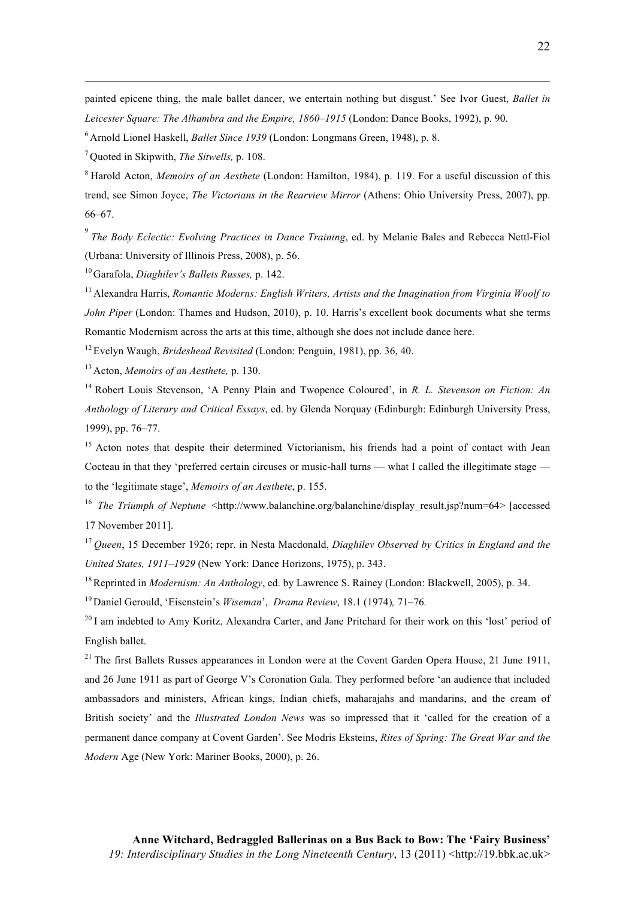painted epicene thing, the male ballet dancer, we entertain nothing but disgust.' See Ivor Guest, *Ballet in Leicester Square: The Alhambra and the Empire, 1860–1915* (London: Dance Books, 1992), p. 90.

<sup>6</sup> Arnold Lionel Haskell, *Ballet Since 1939* (London: Longmans Green, 1948), p. 8.

<sup>7</sup> Quoted in Skipwith, *The Sitwells,* p. 108.

 $\overline{a}$ 

<sup>8</sup> Harold Acton, *Memoirs of an Aesthete* (London: Hamilton, 1984), p. 119. For a useful discussion of this trend, see Simon Joyce, *The Victorians in the Rearview Mirror* (Athens: Ohio University Press, 2007), pp. 66–67.

9 *The Body Eclectic: Evolving Practices in Dance Training*, ed. by Melanie Bales and Rebecca Nettl-Fiol (Urbana: University of Illinois Press, 2008), p. 56.

<sup>10</sup> Garafola, *Diaghilev's Ballets Russes,* p. 142.

<sup>11</sup> Alexandra Harris, *Romantic Moderns: English Writers, Artists and the Imagination from Virginia Woolf to John Piper* (London: Thames and Hudson, 2010), p. 10. Harris's excellent book documents what she terms Romantic Modernism across the arts at this time, although she does not include dance here.

<sup>12</sup> Evelyn Waugh, *Brideshead Revisited* (London: Penguin, 1981), pp. 36, 40.

<sup>13</sup> Acton, *Memoirs of an Aesthete,* p. 130.

<sup>14</sup> Robert Louis Stevenson, 'A Penny Plain and Twopence Coloured', in *R. L. Stevenson on Fiction: An Anthology of Literary and Critical Essays*, ed. by Glenda Norquay (Edinburgh: Edinburgh University Press, 1999), pp. 76–77.

<sup>15</sup> Acton notes that despite their determined Victorianism, his friends had a point of contact with Jean Cocteau in that they 'preferred certain circuses or music-hall turns — what I called the illegitimate stage to the 'legitimate stage', *Memoirs of an Aesthete*, p. 155.

<sup>16</sup> The Triumph of Neptune <http://www.balanchine.org/balanchine/display\_result.jsp?num=64> [accessed] 17 November 2011].

<sup>17</sup> *Queen*, 15 December 1926; repr. in Nesta Macdonald, *Diaghilev Observed by Critics in England and the United States, 1911–1929* (New York: Dance Horizons, 1975), p. 343.

18Reprinted in *Modernism: An Anthology*, ed. by Lawrence S. Rainey (London: Blackwell, 2005), p. 34.

<sup>19</sup> Daniel Gerould, 'Eisenstein's *Wiseman*', *Drama Review*, 18.1 (1974)*,* 71–76*.*

<sup>20</sup> I am indebted to Amy Koritz, Alexandra Carter, and Jane Pritchard for their work on this 'lost' period of English ballet.

 $21$  The first Ballets Russes appearances in London were at the Covent Garden Opera House, 21 June 1911, and 26 June 1911 as part of George V's Coronation Gala. They performed before 'an audience that included ambassadors and ministers, African kings, Indian chiefs, maharajahs and mandarins, and the cream of British society' and the *Illustrated London News* was so impressed that it 'called for the creation of a permanent dance company at Covent Garden'. See Modris Eksteins, *Rites of Spring: The Great War and the Modern* Age (New York: Mariner Books, 2000), p. 26.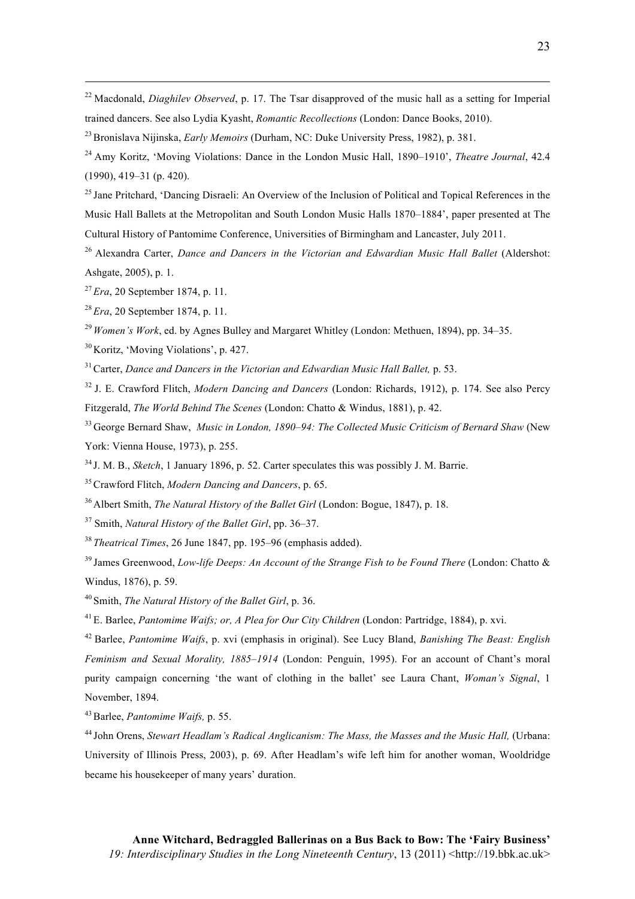<sup>22</sup> Macdonald, *Diaghilev Observed*, p. 17. The Tsar disapproved of the music hall as a setting for Imperial trained dancers. See also Lydia Kyasht, *Romantic Recollections* (London: Dance Books, 2010).

23Bronislava Nijinska, *Early Memoirs* (Durham, NC: Duke University Press, 1982), p. 381.

<sup>24</sup> Amy Koritz, 'Moving Violations: Dance in the London Music Hall, 1890–1910', *Theatre Journal*, 42.4 (1990), 419–31 (p. 420).

<sup>25</sup> Jane Pritchard, 'Dancing Disraeli: An Overview of the Inclusion of Political and Topical References in the Music Hall Ballets at the Metropolitan and South London Music Halls 1870–1884', paper presented at The Cultural History of Pantomime Conference, Universities of Birmingham and Lancaster, July 2011.

<sup>26</sup> Alexandra Carter, *Dance and Dancers in the Victorian and Edwardian Music Hall Ballet* (Aldershot: Ashgate, 2005), p. 1.

<sup>27</sup> *Era*, 20 September 1874, p. 11.

 $\overline{a}$ 

<sup>28</sup> *Era*, 20 September 1874, p. 11.

<sup>29</sup> *Women's Work*, ed. by Agnes Bulley and Margaret Whitley (London: Methuen, 1894), pp. 34–35.

<sup>30</sup> Koritz, 'Moving Violations', p. 427.

31Carter, *Dance and Dancers in the Victorian and Edwardian Music Hall Ballet,* p. 53.

<sup>32</sup> J. E. Crawford Flitch, *Modern Dancing and Dancers* (London: Richards, 1912), p. 174. See also Percy Fitzgerald, *The World Behind The Scenes* (London: Chatto & Windus, 1881), p. 42.

<sup>33</sup> George Bernard Shaw, *Music in London, 1890–94: The Collected Music Criticism of Bernard Shaw* (New York: Vienna House, 1973), p. 255.

<sup>34</sup> J. M. B., *Sketch*, 1 January 1896, p. 52. Carter speculates this was possibly J. M. Barrie.

35Crawford Flitch, *Modern Dancing and Dancers*, p. 65.

<sup>36</sup> Albert Smith, *The Natural History of the Ballet Girl* (London: Bogue, 1847), p. 18.

<sup>37</sup> Smith, *Natural History of the Ballet Girl*, pp. 36–37.

<sup>38</sup> *Theatrical Times*, 26 June 1847, pp. 195–96 (emphasis added).

<sup>39</sup> James Greenwood, *Low-life Deeps: An Account of the Strange Fish to be Found There* (London: Chatto & Windus, 1876), p. 59.

<sup>40</sup> Smith, *The Natural History of the Ballet Girl*, p. 36.

<sup>41</sup> E. Barlee, *Pantomime Waifs; or, A Plea for Our City Children* (London: Partridge, 1884), p. xvi.

<sup>42</sup> Barlee, *Pantomime Waifs*, p. xvi (emphasis in original). See Lucy Bland, *Banishing The Beast: English Feminism and Sexual Morality, 1885–1914* (London: Penguin, 1995). For an account of Chant's moral purity campaign concerning 'the want of clothing in the ballet' see Laura Chant, *Woman's Signal*, 1 November, 1894.

43Barlee, *Pantomime Waifs,* p. 55.

<sup>44</sup> John Orens, *Stewart Headlam's Radical Anglicanism: The Mass, the Masses and the Music Hall,* (Urbana: University of Illinois Press, 2003), p. 69. After Headlam's wife left him for another woman, Wooldridge became his housekeeper of many years' duration.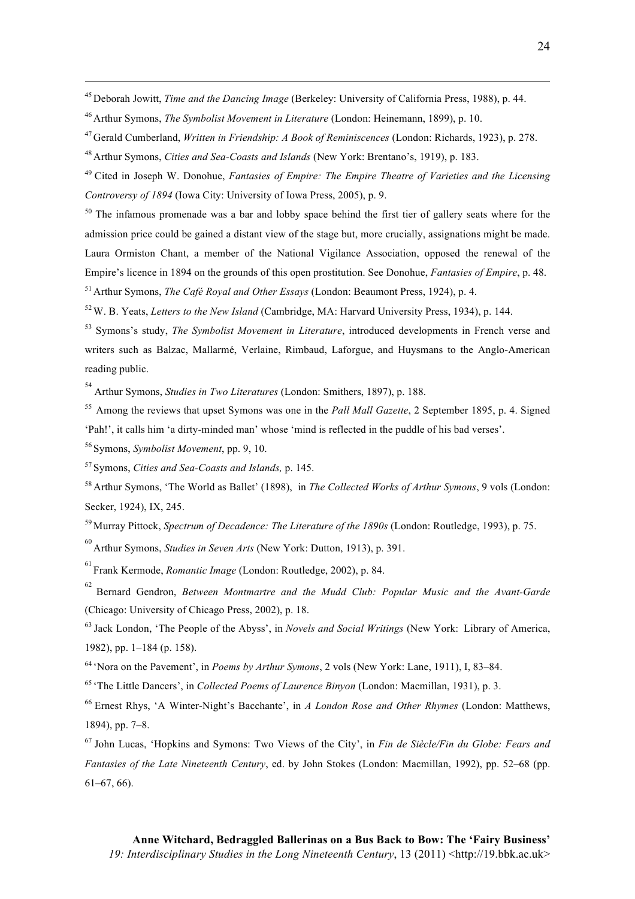<sup>45</sup> Deborah Jowitt, *Time and the Dancing Image* (Berkeley: University of California Press, 1988), p. 44.

<sup>47</sup> Gerald Cumberland, *Written in Friendship: A Book of Reminiscences* (London: Richards, 1923), p. 278.

<sup>48</sup> Arthur Symons, *Cities and Sea-Coasts and Islands* (New York: Brentano's, 1919), p. 183.

<sup>49</sup> Cited in Joseph W. Donohue, *Fantasies of Empire: The Empire Theatre of Varieties and the Licensing Controversy of 1894* (Iowa City: University of Iowa Press, 2005), p. 9.

 $50$  The infamous promenade was a bar and lobby space behind the first tier of gallery seats where for the admission price could be gained a distant view of the stage but, more crucially, assignations might be made. Laura Ormiston Chant, a member of the National Vigilance Association, opposed the renewal of the Empire's licence in 1894 on the grounds of this open prostitution. See Donohue, *Fantasies of Empire*, p. 48. <sup>51</sup> Arthur Symons, *The Café Royal and Other Essays* (London: Beaumont Press, 1924), p. 4.

52W. B. Yeats, *Letters to the New Island* (Cambridge, MA: Harvard University Press, 1934), p. 144.

<sup>53</sup> Symons's study, *The Symbolist Movement in Literature*, introduced developments in French verse and writers such as Balzac, Mallarmé, Verlaine, Rimbaud, Laforgue, and Huysmans to the Anglo-American reading public.

54 Arthur Symons, *Studies in Two Literatures* (London: Smithers, 1897), p. 188.

55 Among the reviews that upset Symons was one in the *Pall Mall Gazette*, 2 September 1895, p. 4. Signed 'Pah!', it calls him 'a dirty-minded man' whose 'mind is reflected in the puddle of his bad verses'.

<sup>56</sup> Symons, *Symbolist Movement*, pp. 9, 10.

 $\overline{a}$ 

<sup>57</sup> Symons, *Cities and Sea-Coasts and Islands,* p. 145.

<sup>58</sup> Arthur Symons, 'The World as Ballet' (1898), in *The Collected Works of Arthur Symons*, 9 vols (London: Secker, 1924), IX, 245.

<sup>59</sup> Murray Pittock, *Spectrum of Decadence: The Literature of the 1890s* (London: Routledge, 1993), p. 75.

60 Arthur Symons, *Studies in Seven Arts* (New York: Dutton, 1913), p. 391.

61 Frank Kermode, *Romantic Image* (London: Routledge, 2002), p. 84.

62 Bernard Gendron, *Between Montmartre and the Mudd Club: Popular Music and the Avant-Garde*  (Chicago: University of Chicago Press, 2002), p. 18.

<sup>63</sup> Jack London, 'The People of the Abyss', in *Novels and Social Writings* (New York: Library of America, 1982), pp. 1–184 (p. 158).

<sup>64</sup> 'Nora on the Pavement', in *Poems by Arthur Symons*, 2 vols (New York: Lane, 1911), I, 83–84.

<sup>65</sup> 'The Little Dancers', in *Collected Poems of Laurence Binyon* (London: Macmillan, 1931), p. 3.

<sup>66</sup> Ernest Rhys, 'A Winter-Night's Bacchante', in *A London Rose and Other Rhymes* (London: Matthews, 1894), pp. 7–8.

<sup>67</sup> John Lucas, 'Hopkins and Symons: Two Views of the City', in *Fin de Siècle/Fin du Globe: Fears and Fantasies of the Late Nineteenth Century*, ed. by John Stokes (London: Macmillan, 1992), pp. 52–68 (pp. 61–67, 66).

<sup>46</sup> Arthur Symons, *The Symbolist Movement in Literature* (London: Heinemann, 1899), p. 10.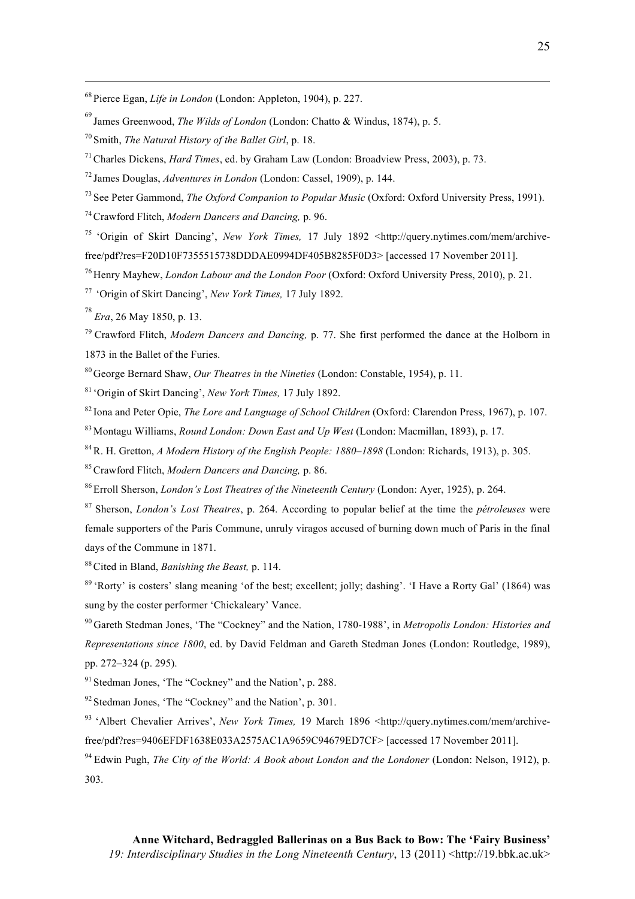<sup>68</sup> Pierce Egan, *Life in London* (London: Appleton, 1904), p. 227.

69 James Greenwood, *The Wilds of London* (London: Chatto & Windus, 1874), p. 5.

<sup>70</sup> Smith, *The Natural History of the Ballet Girl*, p. 18.

71Charles Dickens, *Hard Times*, ed. by Graham Law (London: Broadview Press, 2003), p. 73.

<sup>72</sup> James Douglas, *Adventures in London* (London: Cassel, 1909), p. 144.

<sup>73</sup> See Peter Gammond, *The Oxford Companion to Popular Music* (Oxford: Oxford University Press, 1991).

74Crawford Flitch, *Modern Dancers and Dancing,* p. 96.

<sup>75</sup> 'Origin of Skirt Dancing', *New York Times,* 17 July 1892 <http://query.nytimes.com/mem/archivefree/pdf?res=F20D10F7355515738DDDAE0994DF405B8285F0D3> [accessed 17 November 2011].

<sup>76</sup> Henry Mayhew, *London Labour and the London Poor* (Oxford: Oxford University Press, 2010), p. 21.

<sup>77</sup> 'Origin of Skirt Dancing', *New York Times,* 17 July 1892.

78 *Era*, 26 May 1850, p. 13.

 $\overline{a}$ 

<sup>79</sup> Crawford Flitch, *Modern Dancers and Dancing,* p. 77. She first performed the dance at the Holborn in 1873 in the Ballet of the Furies.

<sup>80</sup> George Bernard Shaw, *Our Theatres in the Nineties* (London: Constable, 1954), p. 11.

<sup>81</sup> 'Origin of Skirt Dancing', *New York Times,* 17 July 1892.

<sup>82</sup> Iona and Peter Opie, *The Lore and Language of School Children* (Oxford: Clarendon Press, 1967), p. 107. <sup>83</sup> Montagu Williams, *Round London: Down East and Up West* (London: Macmillan, 1893), p. 17.

84R. H. Gretton, *A Modern History of the English People: 1880–1898* (London: Richards, 1913), p. 305.

85Crawford Flitch, *Modern Dancers and Dancing,* p. 86.

<sup>86</sup> Erroll Sherson, *London's Lost Theatres of the Nineteenth Century* (London: Ayer, 1925), p. 264.

<sup>87</sup> Sherson, *London's Lost Theatres*, p. 264. According to popular belief at the time the *pétroleuses* were female supporters of the Paris Commune, unruly viragos accused of burning down much of Paris in the final days of the Commune in 1871.

88Cited in Bland, *Banishing the Beast,* p. 114.

<sup>89</sup> 'Rorty' is costers' slang meaning 'of the best; excellent; jolly; dashing'. 'I Have a Rorty Gal' (1864) was sung by the coster performer 'Chickaleary' Vance.

<sup>90</sup> Gareth Stedman Jones, 'The "Cockney" and the Nation, 1780-1988', in *Metropolis London: Histories and Representations since 1800*, ed. by David Feldman and Gareth Stedman Jones (London: Routledge, 1989), pp. 272–324 (p. 295).

<sup>91</sup> Stedman Jones, 'The "Cockney" and the Nation', p. 288.

 $92$  Stedman Jones, 'The "Cockney" and the Nation', p. 301.

<sup>93</sup> 'Albert Chevalier Arrives', *New York Times,* 19 March 1896 <http://query.nytimes.com/mem/archivefree/pdf?res=9406EFDF1638E033A2575AC1A9659C94679ED7CF> [accessed 17 November 2011].

<sup>94</sup> Edwin Pugh, *The City of the World: A Book about London and the Londoner* (London: Nelson, 1912), p. 303.